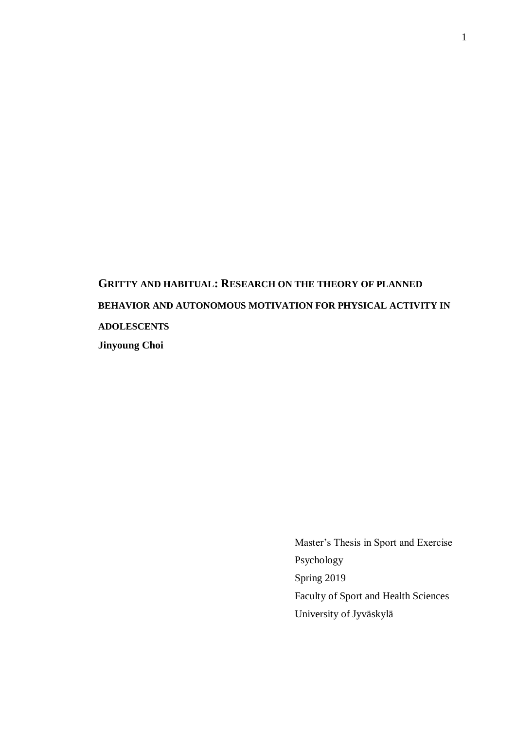**GRITTY AND HABITUAL: RESEARCH ON THE THEORY OF PLANNED BEHAVIOR AND AUTONOMOUS MOTIVATION FOR PHYSICAL ACTIVITY IN ADOLESCENTS Jinyoung Choi**

> Master's Thesis in Sport and Exercise Psychology Spring 2019 Faculty of Sport and Health Sciences University of Jyväskylä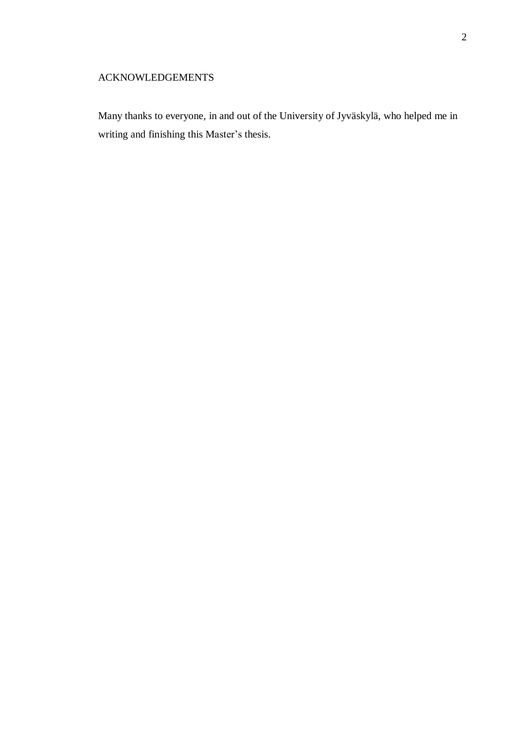### ACKNOWLEDGEMENTS

Many thanks to everyone, in and out of the University of Jyväskylä, who helped me in writing and finishing this Master's thesis.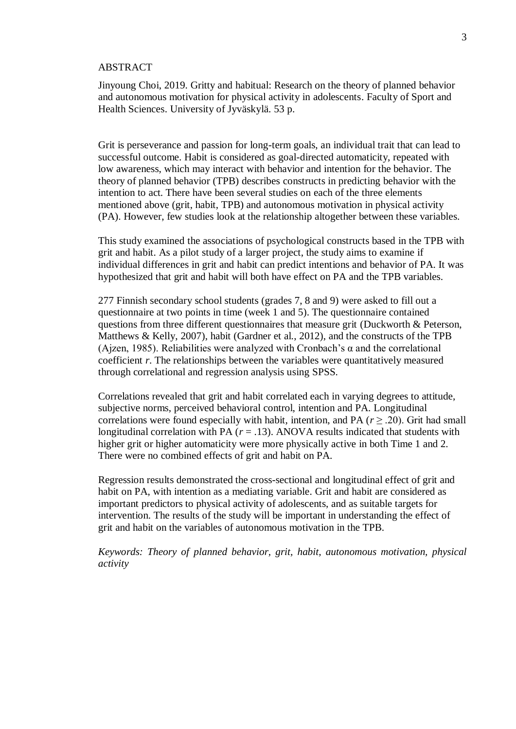#### ABSTRACT

Jinyoung Choi, 2019. Gritty and habitual: Research on the theory of planned behavior and autonomous motivation for physical activity in adolescents. Faculty of Sport and Health Sciences. University of Jyväskylä. 53 p.

Grit is perseverance and passion for long-term goals, an individual trait that can lead to successful outcome. Habit is considered as goal-directed automaticity, repeated with low awareness, which may interact with behavior and intention for the behavior. The theory of planned behavior (TPB) describes constructs in predicting behavior with the intention to act. There have been several studies on each of the three elements mentioned above (grit, habit, TPB) and autonomous motivation in physical activity (PA). However, few studies look at the relationship altogether between these variables.

This study examined the associations of psychological constructs based in the TPB with grit and habit. As a pilot study of a larger project, the study aims to examine if individual differences in grit and habit can predict intentions and behavior of PA. It was hypothesized that grit and habit will both have effect on PA and the TPB variables.

277 Finnish secondary school students (grades 7, 8 and 9) were asked to fill out a questionnaire at two points in time (week 1 and 5). The questionnaire contained questions from three different questionnaires that measure grit (Duckworth & Peterson, Matthews & Kelly, 2007), habit (Gardner et al., 2012), and the constructs of the TPB (Ajzen, 1985). Reliabilities were analyzed with Cronbach's  $\alpha$  and the correlational coefficient *r*. The relationships between the variables were quantitatively measured through correlational and regression analysis using SPSS.

Correlations revealed that grit and habit correlated each in varying degrees to attitude, subjective norms, perceived behavioral control, intention and PA. Longitudinal correlations were found especially with habit, intention, and PA ( $r \geq .20$ ). Grit had small longitudinal correlation with PA  $(r = .13)$ . ANOVA results indicated that students with higher grit or higher automaticity were more physically active in both Time 1 and 2. There were no combined effects of grit and habit on PA.

Regression results demonstrated the cross-sectional and longitudinal effect of grit and habit on PA, with intention as a mediating variable. Grit and habit are considered as important predictors to physical activity of adolescents, and as suitable targets for intervention. The results of the study will be important in understanding the effect of grit and habit on the variables of autonomous motivation in the TPB.

*Keywords: Theory of planned behavior, grit, habit, autonomous motivation, physical activity*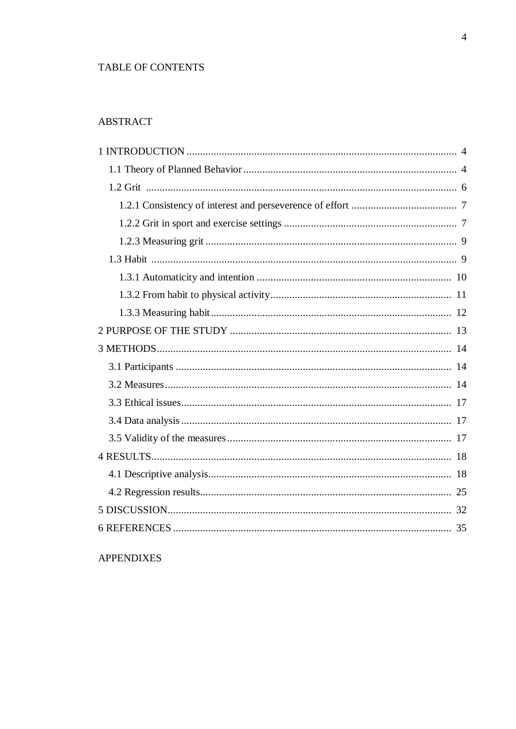### TABLE OF CONTENTS

# **ABSTRACT**

### **APPENDIXES**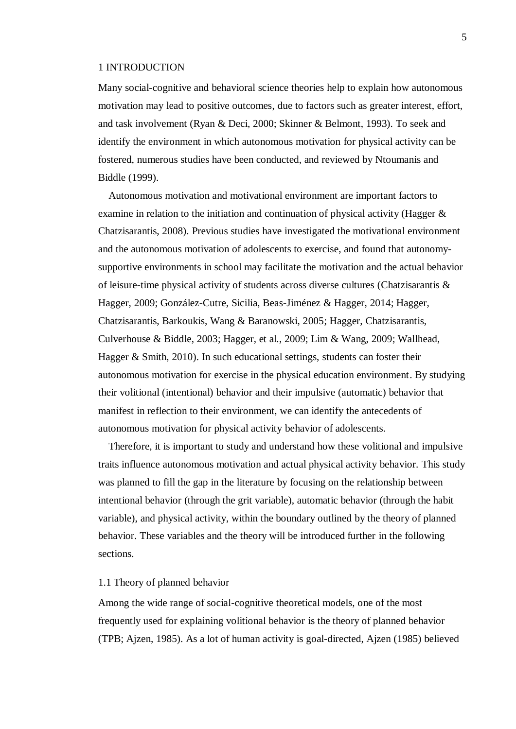#### <span id="page-4-0"></span>1 INTRODUCTION

Many social-cognitive and behavioral science theories help to explain how autonomous motivation may lead to positive outcomes, due to factors such as greater interest, effort, and task involvement (Ryan & Deci, 2000; Skinner & Belmont, 1993). To seek and identify the environment in which autonomous motivation for physical activity can be fostered, numerous studies have been conducted, and reviewed by Ntoumanis and Biddle (1999).

Autonomous motivation and motivational environment are important factors to examine in relation to the initiation and continuation of physical activity (Hagger & Chatzisarantis, 2008). Previous studies have investigated the motivational environment and the autonomous motivation of adolescents to exercise, and found that autonomysupportive environments in school may facilitate the motivation and the actual behavior of leisure-time physical activity of students across diverse cultures (Chatzisarantis & Hagger, 2009; González-Cutre, Sicilia, Beas-Jiménez & Hagger, 2014; Hagger, Chatzisarantis, Barkoukis, Wang & Baranowski, 2005; Hagger, Chatzisarantis, Culverhouse & Biddle, 2003; Hagger, et al., 2009; Lim & Wang, 2009; Wallhead, Hagger & Smith, 2010). In such educational settings, students can foster their autonomous motivation for exercise in the physical education environment. By studying their volitional (intentional) behavior and their impulsive (automatic) behavior that manifest in reflection to their environment, we can identify the antecedents of autonomous motivation for physical activity behavior of adolescents.

Therefore, it is important to study and understand how these volitional and impulsive traits influence autonomous motivation and actual physical activity behavior. This study was planned to fill the gap in the literature by focusing on the relationship between intentional behavior (through the grit variable), automatic behavior (through the habit variable), and physical activity, within the boundary outlined by the theory of planned behavior. These variables and the theory will be introduced further in the following sections.

### <span id="page-4-1"></span>1.1 Theory of planned behavior

Among the wide range of social-cognitive theoretical models, one of the most frequently used for explaining volitional behavior is the theory of planned behavior (TPB; Ajzen, 1985). As a lot of human activity is goal-directed, Ajzen (1985) believed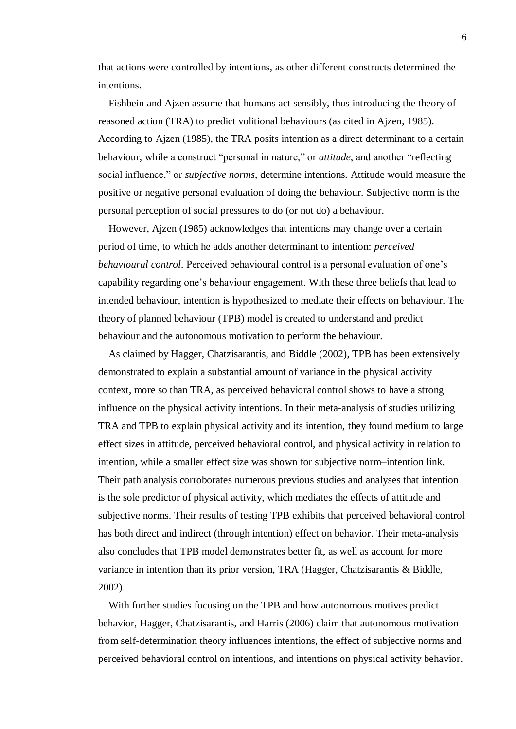that actions were controlled by intentions, as other different constructs determined the intentions.

Fishbein and Ajzen assume that humans act sensibly, thus introducing the theory of reasoned action (TRA) to predict volitional behaviours (as cited in Ajzen, 1985). According to Ajzen (1985), the TRA posits intention as a direct determinant to a certain behaviour, while a construct "personal in nature," or *attitude*, and another "reflecting social influence," or *subjective norms*, determine intentions. Attitude would measure the positive or negative personal evaluation of doing the behaviour. Subjective norm is the personal perception of social pressures to do (or not do) a behaviour.

However, Ajzen (1985) acknowledges that intentions may change over a certain period of time, to which he adds another determinant to intention: *perceived behavioural control*. Perceived behavioural control is a personal evaluation of one's capability regarding one's behaviour engagement. With these three beliefs that lead to intended behaviour, intention is hypothesized to mediate their effects on behaviour. The theory of planned behaviour (TPB) model is created to understand and predict behaviour and the autonomous motivation to perform the behaviour.

As claimed by Hagger, Chatzisarantis, and Biddle (2002), TPB has been extensively demonstrated to explain a substantial amount of variance in the physical activity context, more so than TRA, as perceived behavioral control shows to have a strong influence on the physical activity intentions. In their meta-analysis of studies utilizing TRA and TPB to explain physical activity and its intention, they found medium to large effect sizes in attitude, perceived behavioral control, and physical activity in relation to intention, while a smaller effect size was shown for subjective norm–intention link. Their path analysis corroborates numerous previous studies and analyses that intention is the sole predictor of physical activity, which mediates the effects of attitude and subjective norms. Their results of testing TPB exhibits that perceived behavioral control has both direct and indirect (through intention) effect on behavior. Their meta-analysis also concludes that TPB model demonstrates better fit, as well as account for more variance in intention than its prior version, TRA (Hagger, Chatzisarantis & Biddle, 2002).

With further studies focusing on the TPB and how autonomous motives predict behavior, Hagger, Chatzisarantis, and Harris (2006) claim that autonomous motivation from self-determination theory influences intentions, the effect of subjective norms and perceived behavioral control on intentions, and intentions on physical activity behavior.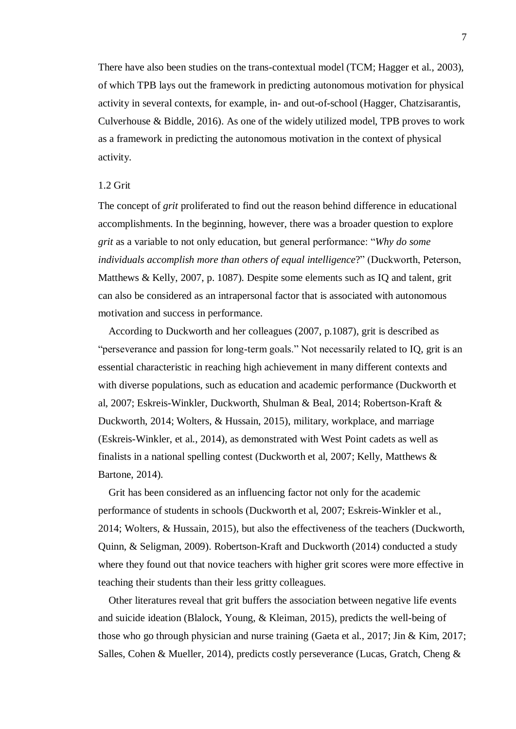There have also been studies on the trans-contextual model (TCM; Hagger et al., 2003), of which TPB lays out the framework in predicting autonomous motivation for physical activity in several contexts, for example, in- and out-of-school (Hagger, Chatzisarantis, Culverhouse & Biddle, 2016). As one of the widely utilized model, TPB proves to work as a framework in predicting the autonomous motivation in the context of physical activity.

#### <span id="page-6-0"></span>1.2 Grit

The concept of *grit* proliferated to find out the reason behind difference in educational accomplishments. In the beginning, however, there was a broader question to explore *grit* as a variable to not only education, but general performance: "*Why do some individuals accomplish more than others of equal intelligence*?" (Duckworth, Peterson, Matthews & Kelly, 2007, p. 1087). Despite some elements such as IQ and talent, grit can also be considered as an intrapersonal factor that is associated with autonomous motivation and success in performance.

According to Duckworth and her colleagues (2007, p.1087), grit is described as "perseverance and passion for long-term goals." Not necessarily related to IQ, grit is an essential characteristic in reaching high achievement in many different contexts and with diverse populations, such as education and academic performance (Duckworth et al, 2007; Eskreis-Winkler, Duckworth, Shulman & Beal, 2014; Robertson-Kraft & Duckworth, 2014; Wolters, & Hussain, 2015), military, workplace, and marriage (Eskreis-Winkler, et al., 2014), as demonstrated with West Point cadets as well as finalists in a national spelling contest (Duckworth et al, 2007; Kelly, Matthews & Bartone, 2014).

Grit has been considered as an influencing factor not only for the academic performance of students in schools (Duckworth et al, 2007; Eskreis-Winkler et al., 2014; Wolters, & Hussain, 2015), but also the effectiveness of the teachers (Duckworth, Quinn, & Seligman, 2009). Robertson-Kraft and Duckworth (2014) conducted a study where they found out that novice teachers with higher grit scores were more effective in teaching their students than their less gritty colleagues.

Other literatures reveal that grit buffers the association between negative life events and suicide ideation (Blalock, Young, & Kleiman, 2015), predicts the well-being of those who go through physician and nurse training (Gaeta et al., 2017; Jin & Kim, 2017; Salles, Cohen & Mueller, 2014), predicts costly perseverance (Lucas, Gratch, Cheng &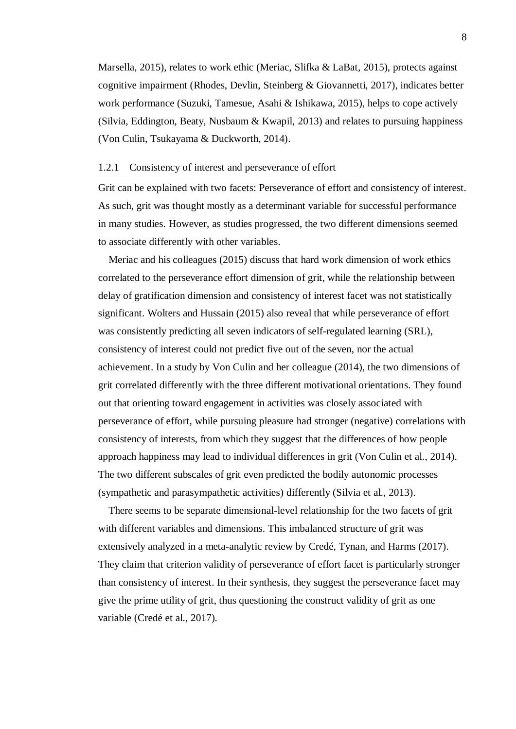Marsella, 2015), relates to work ethic (Meriac, Slifka & LaBat, 2015), protects against cognitive impairment (Rhodes, Devlin, Steinberg & Giovannetti, 2017), indicates better work performance (Suzuki, Tamesue, Asahi & Ishikawa, 2015), helps to cope actively (Silvia, Eddington, Beaty, Nusbaum & Kwapil, 2013) and relates to pursuing happiness (Von Culin, Tsukayama & Duckworth, 2014).

#### <span id="page-7-0"></span>1.2.1 Consistency of interest and perseverance of effort

Grit can be explained with two facets: Perseverance of effort and consistency of interest. As such, grit was thought mostly as a determinant variable for successful performance in many studies. However, as studies progressed, the two different dimensions seemed to associate differently with other variables.

Meriac and his colleagues (2015) discuss that hard work dimension of work ethics correlated to the perseverance effort dimension of grit, while the relationship between delay of gratification dimension and consistency of interest facet was not statistically significant. Wolters and Hussain (2015) also reveal that while perseverance of effort was consistently predicting all seven indicators of self-regulated learning (SRL), consistency of interest could not predict five out of the seven, nor the actual achievement. In a study by Von Culin and her colleague (2014), the two dimensions of grit correlated differently with the three different motivational orientations. They found out that orienting toward engagement in activities was closely associated with perseverance of effort, while pursuing pleasure had stronger (negative) correlations with consistency of interests, from which they suggest that the differences of how people approach happiness may lead to individual differences in grit (Von Culin et al., 2014). The two different subscales of grit even predicted the bodily autonomic processes (sympathetic and parasympathetic activities) differently (Silvia et al., 2013).

There seems to be separate dimensional-level relationship for the two facets of grit with different variables and dimensions. This imbalanced structure of grit was extensively analyzed in a meta-analytic review by Credé, Tynan, and Harms (2017). They claim that criterion validity of perseverance of effort facet is particularly stronger than consistency of interest. In their synthesis, they suggest the perseverance facet may give the prime utility of grit, thus questioning the construct validity of grit as one variable (Credé et al., 2017).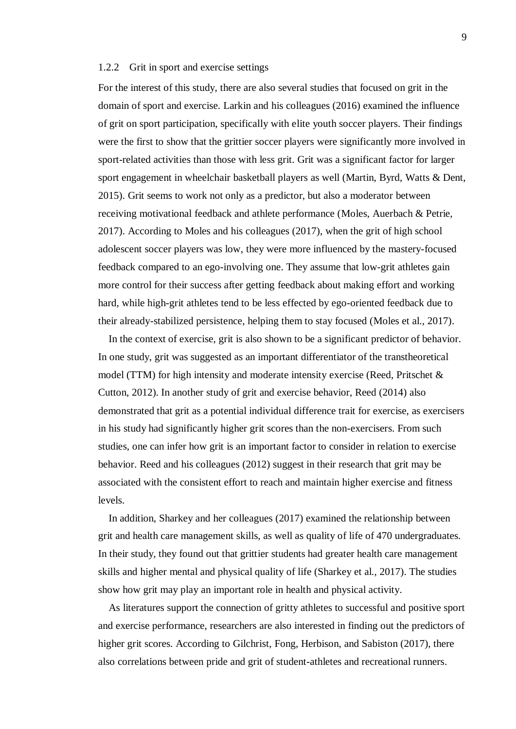#### <span id="page-8-0"></span>1.2.2 Grit in sport and exercise settings

For the interest of this study, there are also several studies that focused on grit in the domain of sport and exercise. Larkin and his colleagues (2016) examined the influence of grit on sport participation, specifically with elite youth soccer players. Their findings were the first to show that the grittier soccer players were significantly more involved in sport-related activities than those with less grit. Grit was a significant factor for larger sport engagement in wheelchair basketball players as well (Martin, Byrd, Watts & Dent, 2015). Grit seems to work not only as a predictor, but also a moderator between receiving motivational feedback and athlete performance (Moles, Auerbach & Petrie, 2017). According to Moles and his colleagues (2017), when the grit of high school adolescent soccer players was low, they were more influenced by the mastery-focused feedback compared to an ego-involving one. They assume that low-grit athletes gain more control for their success after getting feedback about making effort and working hard, while high-grit athletes tend to be less effected by ego-oriented feedback due to their already-stabilized persistence, helping them to stay focused (Moles et al., 2017).

In the context of exercise, grit is also shown to be a significant predictor of behavior. In one study, grit was suggested as an important differentiator of the transtheoretical model (TTM) for high intensity and moderate intensity exercise (Reed, Pritschet & Cutton, 2012). In another study of grit and exercise behavior, Reed (2014) also demonstrated that grit as a potential individual difference trait for exercise, as exercisers in his study had significantly higher grit scores than the non-exercisers. From such studies, one can infer how grit is an important factor to consider in relation to exercise behavior. Reed and his colleagues (2012) suggest in their research that grit may be associated with the consistent effort to reach and maintain higher exercise and fitness levels.

In addition, Sharkey and her colleagues (2017) examined the relationship between grit and health care management skills, as well as quality of life of 470 undergraduates. In their study, they found out that grittier students had greater health care management skills and higher mental and physical quality of life (Sharkey et al., 2017). The studies show how grit may play an important role in health and physical activity.

 As literatures support the connection of gritty athletes to successful and positive sport and exercise performance, researchers are also interested in finding out the predictors of higher grit scores. According to Gilchrist, Fong, Herbison, and Sabiston (2017), there also correlations between pride and grit of student-athletes and recreational runners.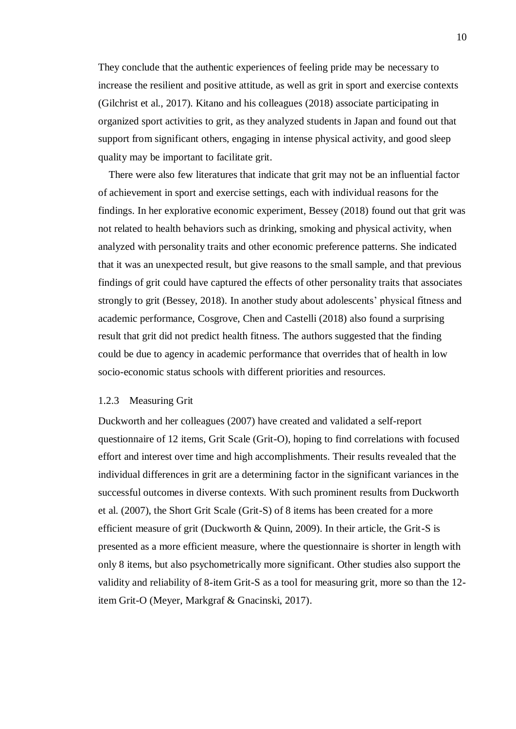They conclude that the authentic experiences of feeling pride may be necessary to increase the resilient and positive attitude, as well as grit in sport and exercise contexts (Gilchrist et al., 2017). Kitano and his colleagues (2018) associate participating in organized sport activities to grit, as they analyzed students in Japan and found out that support from significant others, engaging in intense physical activity, and good sleep quality may be important to facilitate grit.

 There were also few literatures that indicate that grit may not be an influential factor of achievement in sport and exercise settings, each with individual reasons for the findings. In her explorative economic experiment, Bessey (2018) found out that grit was not related to health behaviors such as drinking, smoking and physical activity, when analyzed with personality traits and other economic preference patterns. She indicated that it was an unexpected result, but give reasons to the small sample, and that previous findings of grit could have captured the effects of other personality traits that associates strongly to grit (Bessey, 2018). In another study about adolescents' physical fitness and academic performance, Cosgrove, Chen and Castelli (2018) also found a surprising result that grit did not predict health fitness. The authors suggested that the finding could be due to agency in academic performance that overrides that of health in low socio-economic status schools with different priorities and resources.

#### <span id="page-9-0"></span>1.2.3 Measuring Grit

Duckworth and her colleagues (2007) have created and validated a self-report questionnaire of 12 items, Grit Scale (Grit-O), hoping to find correlations with focused effort and interest over time and high accomplishments. Their results revealed that the individual differences in grit are a determining factor in the significant variances in the successful outcomes in diverse contexts. With such prominent results from Duckworth et al. (2007), the Short Grit Scale (Grit-S) of 8 items has been created for a more efficient measure of grit (Duckworth & Quinn, 2009). In their article, the Grit-S is presented as a more efficient measure, where the questionnaire is shorter in length with only 8 items, but also psychometrically more significant. Other studies also support the validity and reliability of 8-item Grit-S as a tool for measuring grit, more so than the 12 item Grit-O (Meyer, Markgraf & Gnacinski, 2017).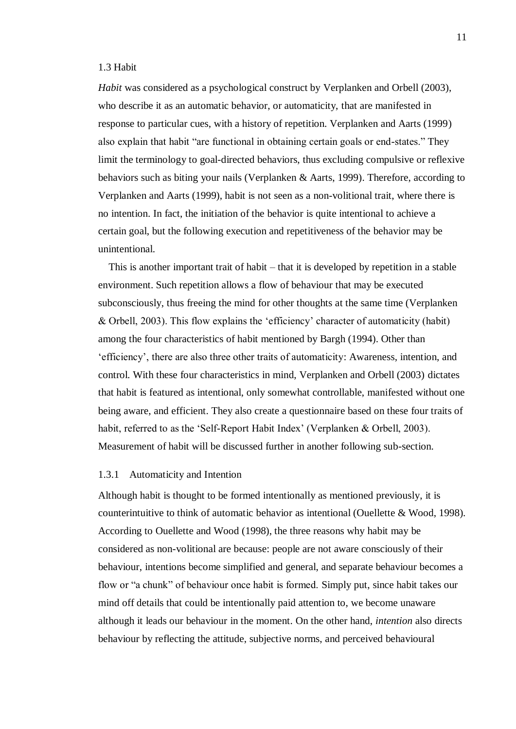#### <span id="page-10-0"></span>1.3 Habit

*Habit* was considered as a psychological construct by Verplanken and Orbell (2003), who describe it as an automatic behavior, or automaticity, that are manifested in response to particular cues, with a history of repetition. Verplanken and Aarts (1999) also explain that habit "are functional in obtaining certain goals or end-states." They limit the terminology to goal-directed behaviors, thus excluding compulsive or reflexive behaviors such as biting your nails (Verplanken & Aarts, 1999). Therefore, according to Verplanken and Aarts (1999), habit is not seen as a non-volitional trait, where there is no intention. In fact, the initiation of the behavior is quite intentional to achieve a certain goal, but the following execution and repetitiveness of the behavior may be unintentional.

This is another important trait of habit – that it is developed by repetition in a stable environment. Such repetition allows a flow of behaviour that may be executed subconsciously, thus freeing the mind for other thoughts at the same time (Verplanken & Orbell, 2003). This flow explains the 'efficiency' character of automaticity (habit) among the four characteristics of habit mentioned by Bargh (1994). Other than 'efficiency', there are also three other traits of automaticity: Awareness, intention, and control. With these four characteristics in mind, Verplanken and Orbell (2003) dictates that habit is featured as intentional, only somewhat controllable, manifested without one being aware, and efficient. They also create a questionnaire based on these four traits of habit, referred to as the 'Self-Report Habit Index' (Verplanken & Orbell, 2003). Measurement of habit will be discussed further in another following sub-section.

#### <span id="page-10-1"></span>1.3.1 Automaticity and Intention

Although habit is thought to be formed intentionally as mentioned previously, it is counterintuitive to think of automatic behavior as intentional (Ouellette & Wood, 1998). According to Ouellette and Wood (1998), the three reasons why habit may be considered as non-volitional are because: people are not aware consciously of their behaviour, intentions become simplified and general, and separate behaviour becomes a flow or "a chunk" of behaviour once habit is formed. Simply put, since habit takes our mind off details that could be intentionally paid attention to, we become unaware although it leads our behaviour in the moment. On the other hand, *intention* also directs behaviour by reflecting the attitude, subjective norms, and perceived behavioural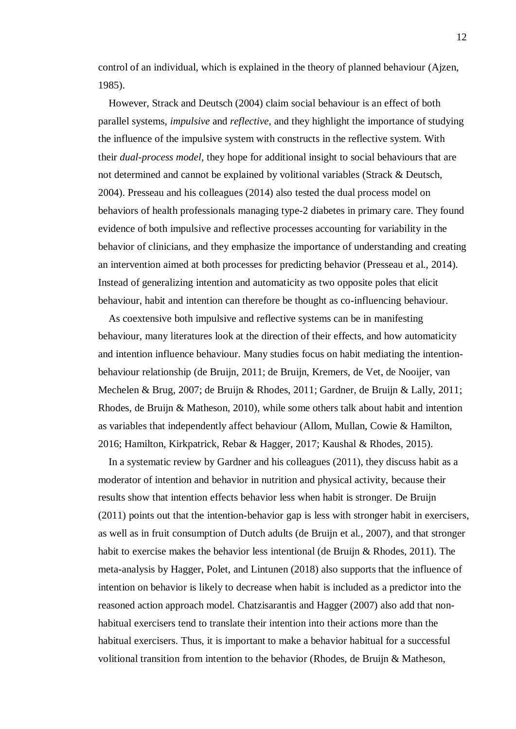control of an individual, which is explained in the theory of planned behaviour (Ajzen, 1985).

However, Strack and Deutsch (2004) claim social behaviour is an effect of both parallel systems, *impulsive* and *reflective*, and they highlight the importance of studying the influence of the impulsive system with constructs in the reflective system. With their *dual-process model*, they hope for additional insight to social behaviours that are not determined and cannot be explained by volitional variables (Strack & Deutsch, 2004). Presseau and his colleagues (2014) also tested the dual process model on behaviors of health professionals managing type-2 diabetes in primary care. They found evidence of both impulsive and reflective processes accounting for variability in the behavior of clinicians, and they emphasize the importance of understanding and creating an intervention aimed at both processes for predicting behavior (Presseau et al., 2014). Instead of generalizing intention and automaticity as two opposite poles that elicit behaviour, habit and intention can therefore be thought as co-influencing behaviour.

As coextensive both impulsive and reflective systems can be in manifesting behaviour, many literatures look at the direction of their effects, and how automaticity and intention influence behaviour. Many studies focus on habit mediating the intentionbehaviour relationship (de Bruijn, 2011; de Bruijn, Kremers, de Vet, de Nooijer, van Mechelen & Brug, 2007; de Bruijn & Rhodes, 2011; Gardner, de Bruijn & Lally, 2011; Rhodes, de Bruijn & Matheson, 2010), while some others talk about habit and intention as variables that independently affect behaviour (Allom, Mullan, Cowie & Hamilton, 2016; Hamilton, Kirkpatrick, Rebar & Hagger, 2017; Kaushal & Rhodes, 2015).

In a systematic review by Gardner and his colleagues (2011), they discuss habit as a moderator of intention and behavior in nutrition and physical activity, because their results show that intention effects behavior less when habit is stronger. De Bruijn (2011) points out that the intention-behavior gap is less with stronger habit in exercisers, as well as in fruit consumption of Dutch adults (de Bruijn et al., 2007), and that stronger habit to exercise makes the behavior less intentional (de Bruijn & Rhodes, 2011). The meta-analysis by Hagger, Polet, and Lintunen (2018) also supports that the influence of intention on behavior is likely to decrease when habit is included as a predictor into the reasoned action approach model. Chatzisarantis and Hagger (2007) also add that nonhabitual exercisers tend to translate their intention into their actions more than the habitual exercisers. Thus, it is important to make a behavior habitual for a successful volitional transition from intention to the behavior (Rhodes, de Bruijn & Matheson,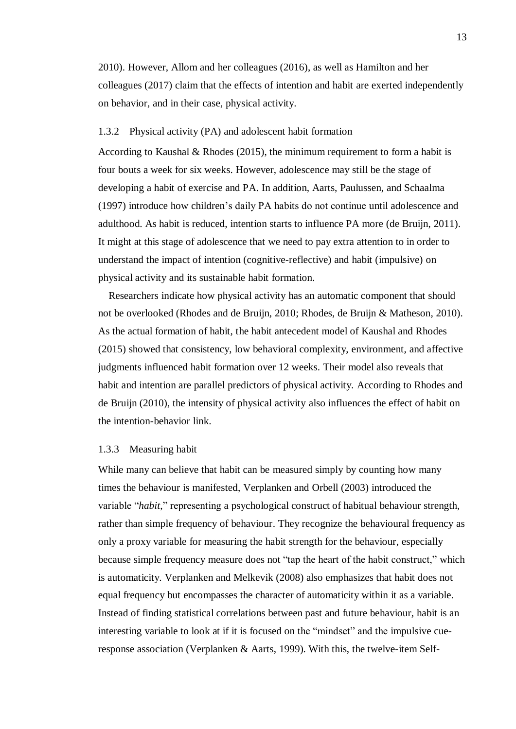2010). However, Allom and her colleagues (2016), as well as Hamilton and her colleagues (2017) claim that the effects of intention and habit are exerted independently on behavior, and in their case, physical activity.

#### <span id="page-12-0"></span>1.3.2 Physical activity (PA) and adolescent habit formation

According to Kaushal & Rhodes (2015), the minimum requirement to form a habit is four bouts a week for six weeks. However, adolescence may still be the stage of developing a habit of exercise and PA. In addition, Aarts, Paulussen, and Schaalma (1997) introduce how children's daily PA habits do not continue until adolescence and adulthood. As habit is reduced, intention starts to influence PA more (de Bruijn, 2011). It might at this stage of adolescence that we need to pay extra attention to in order to understand the impact of intention (cognitive-reflective) and habit (impulsive) on physical activity and its sustainable habit formation.

Researchers indicate how physical activity has an automatic component that should not be overlooked (Rhodes and de Bruijn, 2010; Rhodes, de Bruijn & Matheson, 2010). As the actual formation of habit, the habit antecedent model of Kaushal and Rhodes (2015) showed that consistency, low behavioral complexity, environment, and affective judgments influenced habit formation over 12 weeks. Their model also reveals that habit and intention are parallel predictors of physical activity. According to Rhodes and de Bruijn (2010), the intensity of physical activity also influences the effect of habit on the intention-behavior link.

#### <span id="page-12-1"></span>1.3.3 Measuring habit

While many can believe that habit can be measured simply by counting how many times the behaviour is manifested, Verplanken and Orbell (2003) introduced the variable "*habit*," representing a psychological construct of habitual behaviour strength, rather than simple frequency of behaviour. They recognize the behavioural frequency as only a proxy variable for measuring the habit strength for the behaviour, especially because simple frequency measure does not "tap the heart of the habit construct," which is automaticity. Verplanken and Melkevik (2008) also emphasizes that habit does not equal frequency but encompasses the character of automaticity within it as a variable. Instead of finding statistical correlations between past and future behaviour, habit is an interesting variable to look at if it is focused on the "mindset" and the impulsive cueresponse association (Verplanken & Aarts, 1999). With this, the twelve-item Self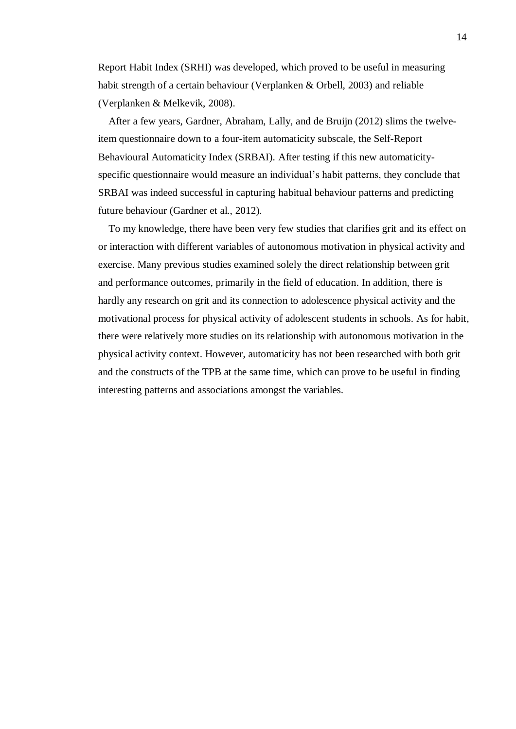Report Habit Index (SRHI) was developed, which proved to be useful in measuring habit strength of a certain behaviour (Verplanken & Orbell, 2003) and reliable (Verplanken & Melkevik, 2008).

After a few years, Gardner, Abraham, Lally, and de Bruijn (2012) slims the twelveitem questionnaire down to a four-item automaticity subscale, the Self-Report Behavioural Automaticity Index (SRBAI). After testing if this new automaticityspecific questionnaire would measure an individual's habit patterns, they conclude that SRBAI was indeed successful in capturing habitual behaviour patterns and predicting future behaviour (Gardner et al., 2012).

To my knowledge, there have been very few studies that clarifies grit and its effect on or interaction with different variables of autonomous motivation in physical activity and exercise. Many previous studies examined solely the direct relationship between grit and performance outcomes, primarily in the field of education. In addition, there is hardly any research on grit and its connection to adolescence physical activity and the motivational process for physical activity of adolescent students in schools. As for habit, there were relatively more studies on its relationship with autonomous motivation in the physical activity context. However, automaticity has not been researched with both grit and the constructs of the TPB at the same time, which can prove to be useful in finding interesting patterns and associations amongst the variables.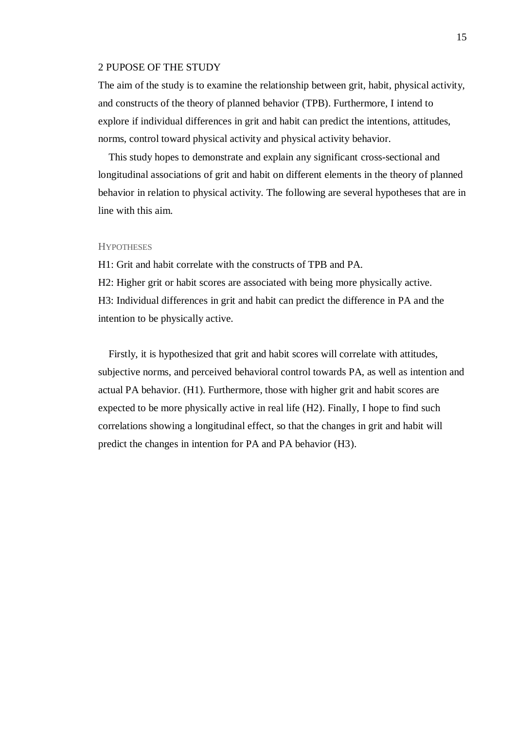#### <span id="page-14-0"></span>2 PUPOSE OF THE STUDY

The aim of the study is to examine the relationship between grit, habit, physical activity, and constructs of the theory of planned behavior (TPB). Furthermore, I intend to explore if individual differences in grit and habit can predict the intentions, attitudes, norms, control toward physical activity and physical activity behavior.

This study hopes to demonstrate and explain any significant cross-sectional and longitudinal associations of grit and habit on different elements in the theory of planned behavior in relation to physical activity. The following are several hypotheses that are in line with this aim.

#### **HYPOTHESES**

H1: Grit and habit correlate with the constructs of TPB and PA.

H2: Higher grit or habit scores are associated with being more physically active. H3: Individual differences in grit and habit can predict the difference in PA and the intention to be physically active.

Firstly, it is hypothesized that grit and habit scores will correlate with attitudes, subjective norms, and perceived behavioral control towards PA, as well as intention and actual PA behavior. (H1). Furthermore, those with higher grit and habit scores are expected to be more physically active in real life (H2). Finally, I hope to find such correlations showing a longitudinal effect, so that the changes in grit and habit will predict the changes in intention for PA and PA behavior (H3).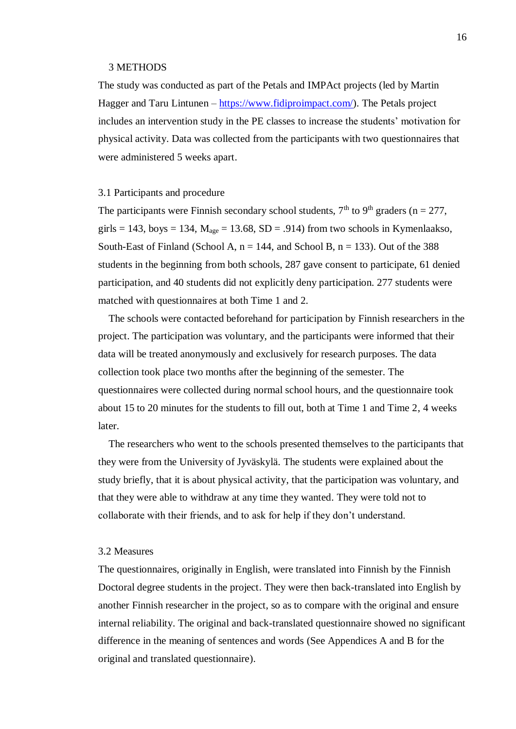#### <span id="page-15-0"></span>3 METHODS

The study was conducted as part of the Petals and IMPAct projects (led by Martin Hagger and Taru Lintunen – [https://www.fidiproimpact.com/\)](https://www.fidiproimpact.com/). The Petals project includes an intervention study in the PE classes to increase the students' motivation for physical activity. Data was collected from the participants with two questionnaires that were administered 5 weeks apart.

#### <span id="page-15-1"></span>3.1 Participants and procedure

The participants were Finnish secondary school students,  $7<sup>th</sup>$  to  $9<sup>th</sup>$  graders (n = 277, girls = 143, boys = 134,  $M_{\text{age}}$  = 13.68, SD = .914) from two schools in Kymenlaakso, South-East of Finland (School A,  $n = 144$ , and School B,  $n = 133$ ). Out of the 388 students in the beginning from both schools, 287 gave consent to participate, 61 denied participation, and 40 students did not explicitly deny participation. 277 students were matched with questionnaires at both Time 1 and 2.

The schools were contacted beforehand for participation by Finnish researchers in the project. The participation was voluntary, and the participants were informed that their data will be treated anonymously and exclusively for research purposes. The data collection took place two months after the beginning of the semester. The questionnaires were collected during normal school hours, and the questionnaire took about 15 to 20 minutes for the students to fill out, both at Time 1 and Time 2, 4 weeks later.

The researchers who went to the schools presented themselves to the participants that they were from the University of Jyväskylä. The students were explained about the study briefly, that it is about physical activity, that the participation was voluntary, and that they were able to withdraw at any time they wanted. They were told not to collaborate with their friends, and to ask for help if they don't understand.

#### <span id="page-15-2"></span>3.2 Measures

The questionnaires, originally in English, were translated into Finnish by the Finnish Doctoral degree students in the project. They were then back-translated into English by another Finnish researcher in the project, so as to compare with the original and ensure internal reliability. The original and back-translated questionnaire showed no significant difference in the meaning of sentences and words (See Appendices A and B for the original and translated questionnaire).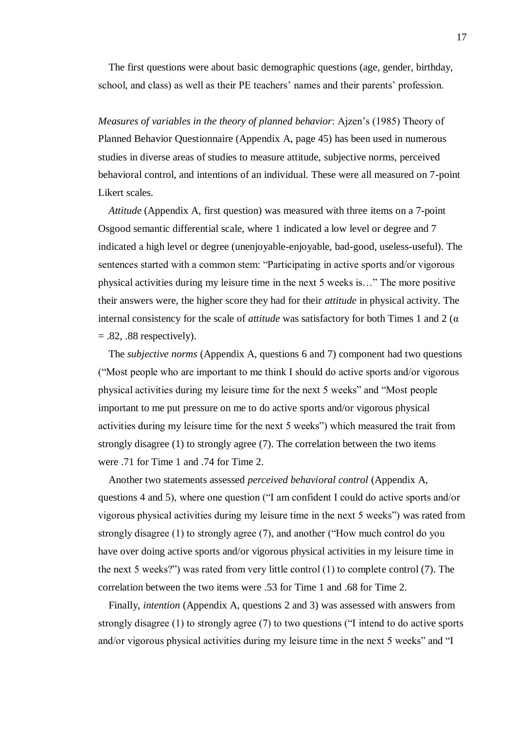The first questions were about basic demographic questions (age, gender, birthday, school, and class) as well as their PE teachers' names and their parents' profession.

*Measures of variables in the theory of planned behavior*: Ajzen's (1985) Theory of Planned Behavior Questionnaire (Appendix A, page 45) has been used in numerous studies in diverse areas of studies to measure attitude, subjective norms, perceived behavioral control, and intentions of an individual. These were all measured on 7-point Likert scales.

*Attitude* (Appendix A, first question) was measured with three items on a 7-point Osgood semantic differential scale, where 1 indicated a low level or degree and 7 indicated a high level or degree (unenjoyable-enjoyable, bad-good, useless-useful). The sentences started with a common stem: "Participating in active sports and/or vigorous physical activities during my leisure time in the next 5 weeks is…" The more positive their answers were, the higher score they had for their *attitude* in physical activity. The internal consistency for the scale of *attitude* was satisfactory for both Times 1 and 2 ( $\alpha$ )  $= .82, .88$  respectively).

The *subjective norms* (Appendix A, questions 6 and 7) component had two questions ("Most people who are important to me think I should do active sports and/or vigorous physical activities during my leisure time for the next 5 weeks" and "Most people important to me put pressure on me to do active sports and/or vigorous physical activities during my leisure time for the next 5 weeks") which measured the trait from strongly disagree (1) to strongly agree (7). The correlation between the two items were .71 for Time 1 and .74 for Time 2.

Another two statements assessed *perceived behavioral control* (Appendix A, questions 4 and 5), where one question ("I am confident I could do active sports and/or vigorous physical activities during my leisure time in the next 5 weeks") was rated from strongly disagree (1) to strongly agree (7), and another ("How much control do you have over doing active sports and/or vigorous physical activities in my leisure time in the next 5 weeks?") was rated from very little control (1) to complete control (7). The correlation between the two items were .53 for Time 1 and .68 for Time 2.

Finally, *intention* (Appendix A, questions 2 and 3) was assessed with answers from strongly disagree (1) to strongly agree (7) to two questions ("I intend to do active sports and/or vigorous physical activities during my leisure time in the next 5 weeks" and "I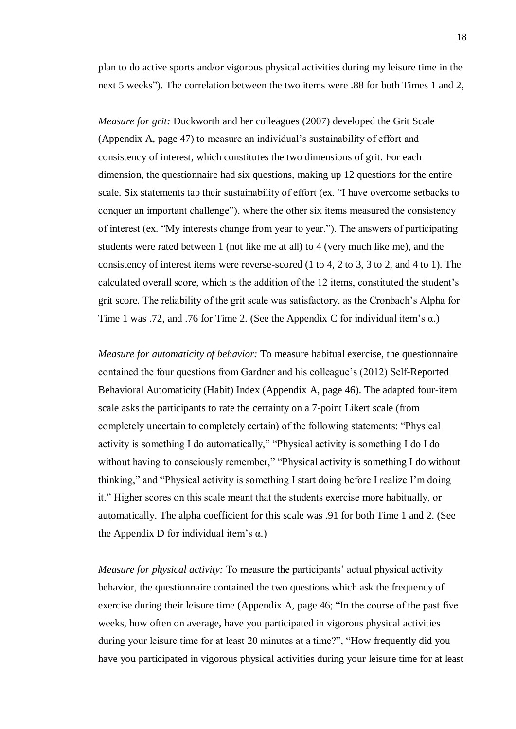plan to do active sports and/or vigorous physical activities during my leisure time in the next 5 weeks"). The correlation between the two items were .88 for both Times 1 and 2,

*Measure for grit:* Duckworth and her colleagues (2007) developed the Grit Scale (Appendix A, page 47) to measure an individual's sustainability of effort and consistency of interest, which constitutes the two dimensions of grit. For each dimension, the questionnaire had six questions, making up 12 questions for the entire scale. Six statements tap their sustainability of effort (ex. "I have overcome setbacks to conquer an important challenge"), where the other six items measured the consistency of interest (ex. "My interests change from year to year."). The answers of participating students were rated between 1 (not like me at all) to 4 (very much like me), and the consistency of interest items were reverse-scored (1 to 4, 2 to 3, 3 to 2, and 4 to 1). The calculated overall score, which is the addition of the 12 items, constituted the student's grit score. The reliability of the grit scale was satisfactory, as the Cronbach's Alpha for Time 1 was .72, and .76 for Time 2. (See the Appendix C for individual item's α.)

*Measure for automaticity of behavior:* To measure habitual exercise, the questionnaire contained the four questions from Gardner and his colleague's (2012) Self-Reported Behavioral Automaticity (Habit) Index (Appendix A, page 46). The adapted four-item scale asks the participants to rate the certainty on a 7-point Likert scale (from completely uncertain to completely certain) of the following statements: "Physical activity is something I do automatically," "Physical activity is something I do I do without having to consciously remember," "Physical activity is something I do without thinking," and "Physical activity is something I start doing before I realize I'm doing it." Higher scores on this scale meant that the students exercise more habitually, or automatically. The alpha coefficient for this scale was .91 for both Time 1 and 2. (See the Appendix D for individual item's  $\alpha$ .)

*Measure for physical activity:* To measure the participants' actual physical activity behavior, the questionnaire contained the two questions which ask the frequency of exercise during their leisure time (Appendix A, page 46; "In the course of the past five weeks, how often on average, have you participated in vigorous physical activities during your leisure time for at least 20 minutes at a time?", "How frequently did you have you participated in vigorous physical activities during your leisure time for at least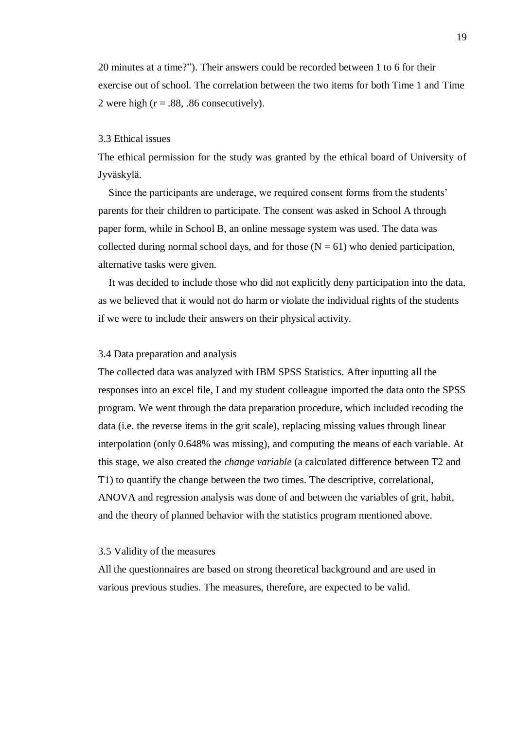20 minutes at a time?"). Their answers could be recorded between 1 to 6 for their exercise out of school. The correlation between the two items for both Time 1 and Time 2 were high  $(r = .88, .86$  consecutively).

#### <span id="page-18-0"></span>3.3 Ethical issues

The ethical permission for the study was granted by the ethical board of University of Jyväskylä.

Since the participants are underage, we required consent forms from the students' parents for their children to participate. The consent was asked in School A through paper form, while in School B, an online message system was used. The data was collected during normal school days, and for those  $(N = 61)$  who denied participation, alternative tasks were given.

It was decided to include those who did not explicitly deny participation into the data, as we believed that it would not do harm or violate the individual rights of the students if we were to include their answers on their physical activity.

#### <span id="page-18-1"></span>3.4 Data preparation and analysis

The collected data was analyzed with IBM SPSS Statistics. After inputting all the responses into an excel file, I and my student colleague imported the data onto the SPSS program. We went through the data preparation procedure, which included recoding the data (i.e. the reverse items in the grit scale), replacing missing values through linear interpolation (only 0.648% was missing), and computing the means of each variable. At this stage, we also created the *change variable* (a calculated difference between T2 and T1) to quantify the change between the two times. The descriptive, correlational, ANOVA and regression analysis was done of and between the variables of grit, habit, and the theory of planned behavior with the statistics program mentioned above.

#### <span id="page-18-2"></span>3.5 Validity of the measures

All the questionnaires are based on strong theoretical background and are used in various previous studies. The measures, therefore, are expected to be valid.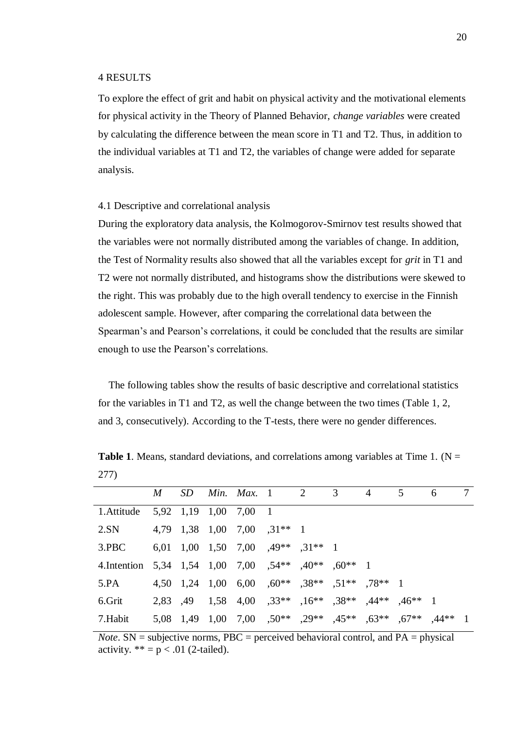#### <span id="page-19-0"></span>4 RESULTS

To explore the effect of grit and habit on physical activity and the motivational elements for physical activity in the Theory of Planned Behavior, *change variables* were created by calculating the difference between the mean score in T1 and T2. Thus, in addition to the individual variables at T1 and T2, the variables of change were added for separate analysis.

#### <span id="page-19-1"></span>4.1 Descriptive and correlational analysis

During the exploratory data analysis, the Kolmogorov-Smirnov test results showed that the variables were not normally distributed among the variables of change. In addition, the Test of Normality results also showed that all the variables except for *grit* in T1 and T2 were not normally distributed, and histograms show the distributions were skewed to the right. This was probably due to the high overall tendency to exercise in the Finnish adolescent sample. However, after comparing the correlational data between the Spearman's and Pearson's correlations, it could be concluded that the results are similar enough to use the Pearson's correlations.

The following tables show the results of basic descriptive and correlational statistics for the variables in T1 and T2, as well the change between the two times (Table 1, 2, and 3, consecutively). According to the T-tests, there were no gender differences.

|     | M |  |  | $SD$ Min Max 1 2 3 4 5 |  |  |  |
|-----|---|--|--|------------------------|--|--|--|
| 277 |   |  |  |                        |  |  |  |
|     |   |  |  |                        |  |  |  |

**Table 1**. Means, standard deviations, and correlations among variables at Time 1. ( $N =$ 

|                                                      |  |  | <i>M SD Min. Max.</i> 1 2 3 4                             |  | 5 <sup>5</sup> | - 6 | 7 |
|------------------------------------------------------|--|--|-----------------------------------------------------------|--|----------------|-----|---|
| 1. Attitude 5,92 1,19 1,00 7,00 1                    |  |  |                                                           |  |                |     |   |
| 2.SN $4,79$ 1,38 1,00 7,00 $,31**$ 1                 |  |  |                                                           |  |                |     |   |
| 3.PBC 6,01 1,00 1,50 7,00 $,49**$ $,31**$ 1          |  |  |                                                           |  |                |     |   |
| 4. Intention 5,34 1,54 1,00 7,00 ,54** ,40** ,60** 1 |  |  |                                                           |  |                |     |   |
| 5.PA                                                 |  |  | 4,50 1,24 1,00 6,00 ,60** ,38** ,51** ,78** 1             |  |                |     |   |
| 6.Grit                                               |  |  | 2,83 ,49 1,58 4,00 ,33** ,16** ,38** ,44**                |  | $,46**$ 1      |     |   |
| 7.Habit                                              |  |  | 5,08 1,49 1,00 7,00 ,50** ,29** ,45** ,63** ,67** ,44** 1 |  |                |     |   |
|                                                      |  |  |                                                           |  |                |     |   |

*Note*. SN = subjective norms, PBC = perceived behavioral control, and PA = physical activity.  $** = p < .01$  (2-tailed).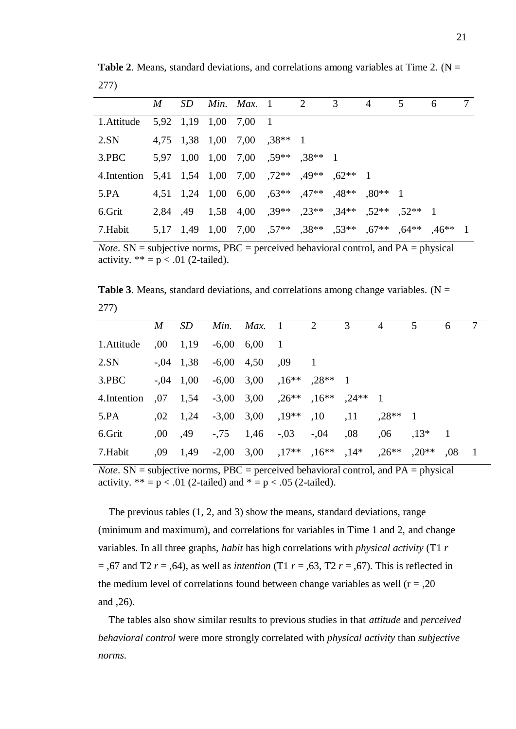|                                                     | $M_{\odot}$ |  | $SD$ Min. Max. 1 2                            | $\overline{3}$ | $\overline{4}$ | 5                                                  | 6         |  |
|-----------------------------------------------------|-------------|--|-----------------------------------------------|----------------|----------------|----------------------------------------------------|-----------|--|
| 1. Attitude 5,92 1,19 1,00 7,00 1                   |             |  |                                               |                |                |                                                    |           |  |
| 2.SN                                                |             |  | 4,75 1,38 1,00 7,00 ,38** 1                   |                |                |                                                    |           |  |
| 3.PBC                                               |             |  | 5,97 1,00 1,00 7,00 ,59** ,38** 1             |                |                |                                                    |           |  |
| 4. Intention 5,41 1,54 1,00 7,00 ,72** ,49** 62** 1 |             |  |                                               |                |                |                                                    |           |  |
| 5.PA                                                |             |  | 4,51 1,24 1,00 6,00 ,63** ,47** ,48** ,80** 1 |                |                |                                                    |           |  |
| 6.Grit                                              |             |  |                                               |                |                | 2,84 ,49 1,58 4,00 ,39** ,23** ,34** ,52** ,52** 1 |           |  |
| 7.Habit                                             |             |  | 5,17 1,49 1,00 7,00 57** 38** 53** 57**       |                |                | $,64***$                                           | $,46**$ 1 |  |

**Table 2.** Means, standard deviations, and correlations among variables at Time 2. (N = 277)

*Note*. SN = subjective norms, PBC = perceived behavioral control, and PA = physical activity.  $** = p < .01$  (2-tailed).

**Table 3**. Means, standard deviations, and correlations among change variables. ( $N =$ 277)

|              | M    | <i>SD</i>   |                      | Min. Max. 1      |                      | 2         | 3         | 4         | 5         | 6   | 7              |
|--------------|------|-------------|----------------------|------------------|----------------------|-----------|-----------|-----------|-----------|-----|----------------|
| 1. Attitude  | .00. | 1,19        |                      | $-6,00$ $6,00$ 1 |                      |           |           |           |           |     |                |
| 2.SN         |      | $-.04$ 1,38 | $-6,00 \quad 4,50$   |                  | .09                  |           |           |           |           |     |                |
| 3.PBC        |      | $-.04$ 1,00 | $-6,00$ 3,00         |                  | $,16***$             | $.28**$ 1 |           |           |           |     |                |
| 4. Intention | ,07  | 1,54        |                      |                  | $-3,00$ 3,00 $,26**$ | $,16***$  | $.24**$ 1 |           |           |     |                |
| 5.PA         | 0.02 | 1,24        | $-3,00$ 3,00 $,19**$ |                  |                      | ,10       | ,11       | $.28**$ 1 |           |     |                |
| 6.Grit       | ,00  | ,49         |                      |                  | $-0.75$ 1.46 $-0.03$ | $-0.04$   | ,08       | .06       | $,13^*$ 1 |     |                |
| 7.Habit      | ,09  | 1,49        |                      |                  | $-2,00$ 3,00 $,17**$ | $,16***$  | $,14*$    | $,26**$   | $0^{**}$  | .08 | $\overline{1}$ |

*Note*.  $SN =$  subjective norms,  $PBC =$  perceived behavioral control, and  $PA =$  physical activity.  $** = p < .01$  (2-tailed) and  $* = p < .05$  (2-tailed).

 The previous tables (1, 2, and 3) show the means, standard deviations, range (minimum and maximum), and correlations for variables in Time 1 and 2, and change variables. In all three graphs, *habit* has high correlations with *physical activity* (T1 *r* = ,67 and T2 *r* = ,64), as well as *intention* (T1 *r* = ,63, T2 *r* = ,67). This is reflected in the medium level of correlations found between change variables as well  $(r = 0.20)$ and ,26).

The tables also show similar results to previous studies in that *attitude* and *perceived behavioral control* were more strongly correlated with *physical activity* than *subjective norms*.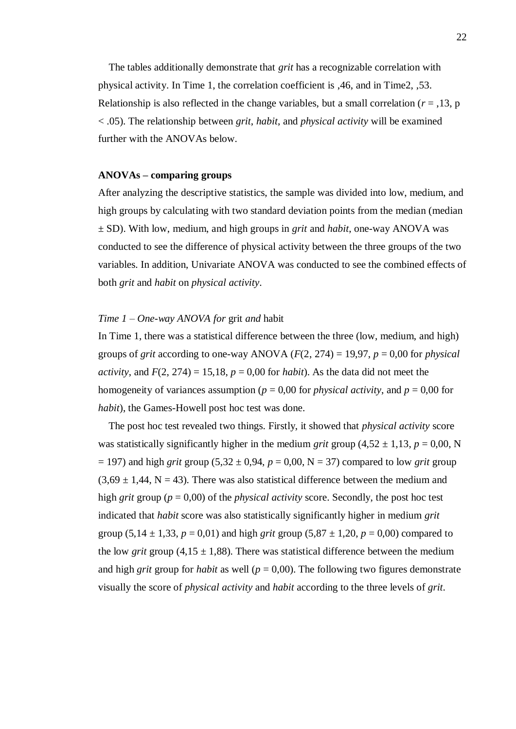The tables additionally demonstrate that *grit* has a recognizable correlation with physical activity. In Time 1, the correlation coefficient is ,46, and in Time2, ,53. Relationship is also reflected in the change variables, but a small correlation ( $r = 0.13$ , p < .05). The relationship between *grit*, *habit*, and *physical activity* will be examined further with the ANOVAs below.

#### **ANOVAs – comparing groups**

After analyzing the descriptive statistics, the sample was divided into low, medium, and high groups by calculating with two standard deviation points from the median (median ± SD). With low, medium, and high groups in *grit* and *habit*, one-way ANOVA was conducted to see the difference of physical activity between the three groups of the two variables. In addition, Univariate ANOVA was conducted to see the combined effects of both *grit* and *habit* on *physical activity*.

#### *Time 1 – One-way ANOVA for* grit *and* habit

In Time 1, there was a statistical difference between the three (low, medium, and high) groups of *grit* according to one-way ANOVA ( $F(2, 274) = 19,97$ ,  $p = 0,00$  for *physical activity*, and  $F(2, 274) = 15,18$ ,  $p = 0,00$  for *habit*). As the data did not meet the homogeneity of variances assumption ( $p = 0.00$  for *physical activity*, and  $p = 0.00$  for *habit*), the Games-Howell post hoc test was done.

The post hoc test revealed two things. Firstly, it showed that *physical activity* score was statistically significantly higher in the medium *grit* group (4,52  $\pm$  1,13, *p* = 0,00, N  $= 197$ ) and high *grit* group (5,32  $\pm$  0,94, *p* = 0,00, N = 37) compared to low *grit* group  $(3.69 \pm 1.44, N = 43)$ . There was also statistical difference between the medium and high *grit* group ( $p = 0.00$ ) of the *physical activity* score. Secondly, the post hoc test indicated that *habit* score was also statistically significantly higher in medium *grit* group (5,14  $\pm$  1,33,  $p = 0.01$ ) and high *grit* group (5,87  $\pm$  1,20,  $p = 0.00$ ) compared to the low *grit* group  $(4.15 \pm 1.88)$ . There was statistical difference between the medium and high *grit* group for *habit* as well ( $p = 0.00$ ). The following two figures demonstrate visually the score of *physical activity* and *habit* according to the three levels of *grit*.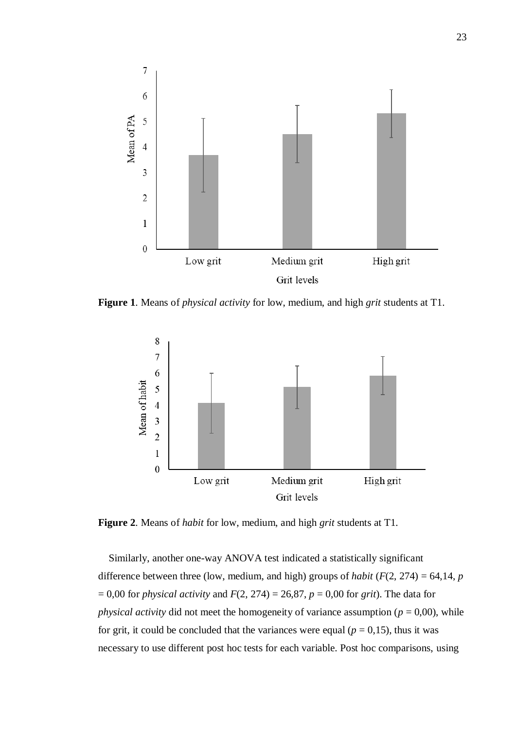

**Figure 1**. Means of *physical activity* for low, medium, and high *grit* students at T1.



**Figure 2**. Means of *habit* for low, medium, and high *grit* students at T1.

 Similarly, another one-way ANOVA test indicated a statistically significant difference between three (low, medium, and high) groups of *habit* ( $F(2, 274) = 64,14$ , *p*  $= 0,00$  for *physical activity* and  $F(2, 274) = 26,87$ ,  $p = 0,00$  for *grit*). The data for *physical activity* did not meet the homogeneity of variance assumption ( $p = 0.00$ ), while for grit, it could be concluded that the variances were equal  $(p = 0,15)$ , thus it was necessary to use different post hoc tests for each variable. Post hoc comparisons, using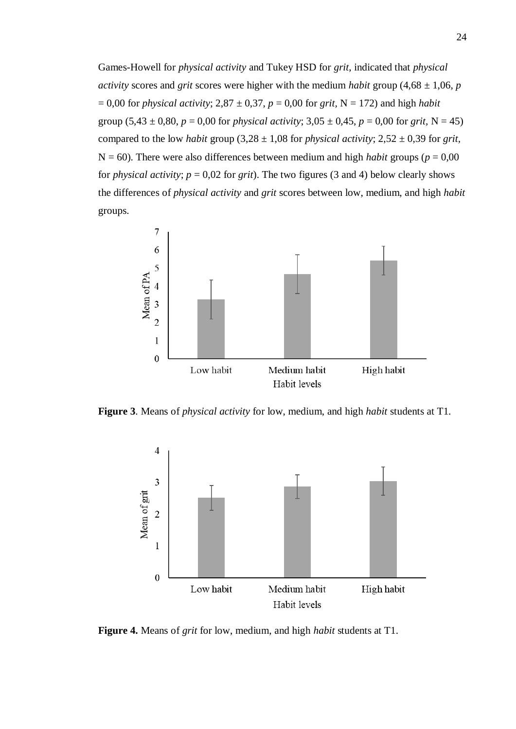Games-Howell for *physical activity* and Tukey HSD for *grit*, indicated that *physical activity* scores and *grit* scores were higher with the medium *habit* group  $(4.68 \pm 1.06, p)$  $= 0.00$  for *physical activity*; 2,87  $\pm$  0,37, *p* = 0,00 for *grit*, N = 172) and high *habit* group  $(5,43 \pm 0,80, p = 0,00$  for *physical activity*;  $3,05 \pm 0,45, p = 0,00$  for *grit*, N = 45) compared to the low *habit* group  $(3,28 \pm 1,08$  for *physical activity*;  $2,52 \pm 0,39$  for *grit,*  $N = 60$ ). There were also differences between medium and high *habit* groups ( $p = 0.00$ ) for *physical activity*;  $p = 0.02$  for *grit*). The two figures (3 and 4) below clearly shows the differences of *physical activity* and *grit* scores between low, medium, and high *habit*  groups.



**Figure 3**. Means of *physical activity* for low, medium, and high *habit* students at T1.



**Figure 4.** Means of *grit* for low, medium, and high *habit* students at T1.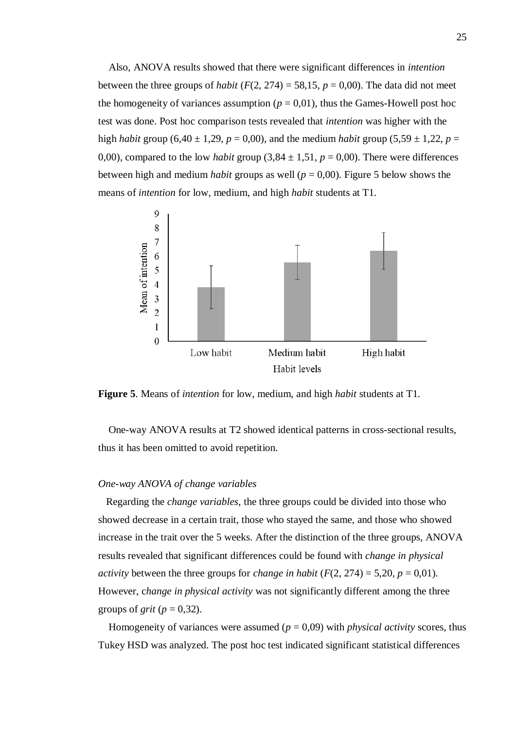Also, ANOVA results showed that there were significant differences in *intention* between the three groups of *habit* ( $F(2, 274) = 58,15$ ,  $p = 0,00$ ). The data did not meet the homogeneity of variances assumption ( $p = 0.01$ ), thus the Games-Howell post hoc test was done. Post hoc comparison tests revealed that *intention* was higher with the high *habit* group (6,40  $\pm$  1,29, *p* = 0,00), and the medium *habit* group (5,59  $\pm$  1,22, *p* = 0,00), compared to the low *habit* group  $(3,84 \pm 1,51, p = 0,00)$ . There were differences between high and medium *habit* groups as well (*p* = 0,00). Figure 5 below shows the means of *intention* for low, medium, and high *habit* students at T1.



**Figure 5**. Means of *intention* for low, medium, and high *habit* students at T1.

One-way ANOVA results at T2 showed identical patterns in cross-sectional results, thus it has been omitted to avoid repetition.

#### *One-way ANOVA of change variables*

 Regarding the *change variables*, the three groups could be divided into those who showed decrease in a certain trait, those who stayed the same, and those who showed increase in the trait over the 5 weeks. After the distinction of the three groups, ANOVA results revealed that significant differences could be found with *change in physical activity* between the three groups for *change in habit* ( $F(2, 274) = 5,20, p = 0,01$ ). However, c*hange in physical activity* was not significantly different among the three groups of *grit* ( $p = 0,32$ ).

Homogeneity of variances were assumed  $(p = 0.09)$  with *physical activity* scores, thus Tukey HSD was analyzed. The post hoc test indicated significant statistical differences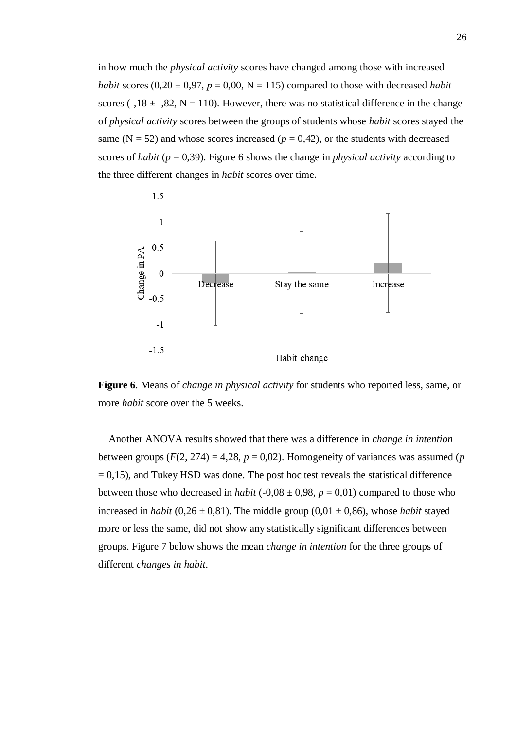in how much the *physical activity* scores have changed among those with increased *habit* scores  $(0,20 \pm 0.97, p = 0.00, N = 115)$  compared to those with decreased *habit* scores ( $-18 \pm -18$ , N = 110). However, there was no statistical difference in the change of *physical activity* scores between the groups of students whose *habit* scores stayed the same ( $N = 52$ ) and whose scores increased ( $p = 0.42$ ), or the students with decreased scores of *habit* (*p* = 0,39). Figure 6 shows the change in *physical activity* according to the three different changes in *habit* scores over time.



**Figure 6**. Means of *change in physical activity* for students who reported less, same, or more *habit* score over the 5 weeks.

Another ANOVA results showed that there was a difference in *change in intention* between groups  $(F(2, 274) = 4,28, p = 0,02)$ . Homogeneity of variances was assumed (*p*  $= 0.15$ ), and Tukey HSD was done. The post hoc test reveals the statistical difference between those who decreased in *habit* (-0,08  $\pm$  0,98, *p* = 0,01) compared to those who increased in *habit* (0,26  $\pm$  0,81). The middle group (0,01  $\pm$  0,86), whose *habit* stayed more or less the same, did not show any statistically significant differences between groups. Figure 7 below shows the mean *change in intention* for the three groups of different *changes in habit*.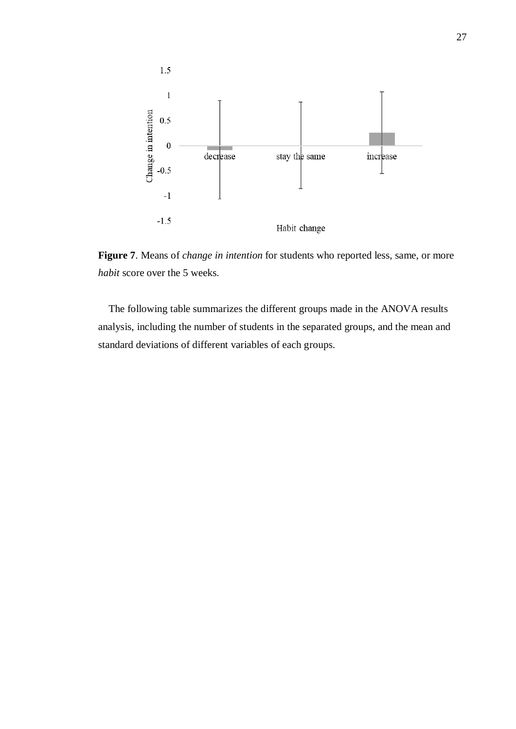

**Figure 7**. Means of *change in intention* for students who reported less, same, or more *habit* score over the 5 weeks.

The following table summarizes the different groups made in the ANOVA results analysis, including the number of students in the separated groups, and the mean and standard deviations of different variables of each groups.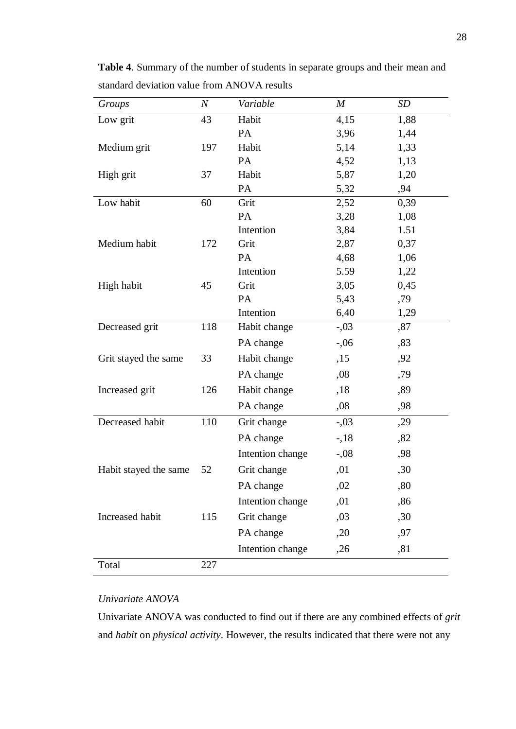| Groups                | $\overline{N}$ | Variable         | $\boldsymbol{M}$ | <b>SD</b> |
|-----------------------|----------------|------------------|------------------|-----------|
| Low grit              | 43             | Habit            | 4,15             | 1,88      |
|                       |                | PA               | 3,96             | 1,44      |
| Medium grit           | 197            | Habit            | 5,14             | 1,33      |
|                       |                | PA               | 4,52             | 1,13      |
| High grit             | 37             | Habit            | 5,87             | 1,20      |
|                       |                | PA               | 5,32             | ,94       |
| Low habit             | 60             | Grit             | 2,52             | 0,39      |
|                       |                | PA               | 3,28             | 1,08      |
|                       |                | Intention        | 3,84             | 1.51      |
| Medium habit          | 172            | Grit             | 2,87             | 0,37      |
|                       |                | PA               | 4,68             | 1,06      |
|                       |                | Intention        | 5.59             | 1,22      |
| High habit            | 45             | Grit             | 3,05             | 0,45      |
|                       |                | PA               | 5,43             | ,79       |
|                       |                | Intention        | 6,40             | 1,29      |
| Decreased grit        | 118            | Habit change     | $-.03$           | ,87       |
|                       |                | PA change        | $-.06$           | ,83       |
| Grit stayed the same  | 33             | Habit change     | ,15              | ,92       |
|                       |                | PA change        | ,08              | ,79       |
| Increased grit        | 126            | Habit change     | ,18              | ,89       |
|                       |                | PA change        | ,08              | ,98       |
| Decreased habit       | 110            | Grit change      | $-.03$           | ,29       |
|                       |                | PA change        | $-18$            | ,82       |
|                       |                | Intention change | $-.08$           | ,98       |
| Habit stayed the same | 52             | Grit change      | ,01              | ,30       |
|                       |                | PA change        | ,02              | ,80       |
|                       |                | Intention change | ,01              | ,86       |
| Increased habit       | 115            | Grit change      | ,03              | ,30       |
|                       |                | PA change        | ,20              | ,97       |
|                       |                | Intention change | ,26              | ,81       |
| Total                 | 227            |                  |                  |           |

**Table 4**. Summary of the number of students in separate groups and their mean and standard deviation value from ANOVA results

#### *Univariate ANOVA*

Univariate ANOVA was conducted to find out if there are any combined effects of *grit* and *habit* on *physical activity*. However, the results indicated that there were not any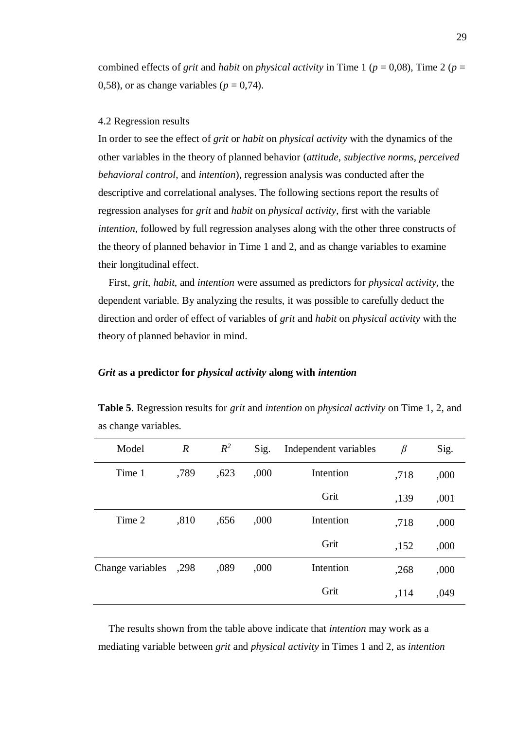combined effects of *grit* and *habit* on *physical activity* in Time 1 ( $p = 0.08$ ), Time 2 ( $p =$ 0,58), or as change variables ( $p = 0.74$ ).

#### <span id="page-28-0"></span>4.2 Regression results

In order to see the effect of *grit* or *habit* on *physical activity* with the dynamics of the other variables in the theory of planned behavior (*attitude*, *subjective norms*, *perceived behavioral control*, and *intention*), regression analysis was conducted after the descriptive and correlational analyses. The following sections report the results of regression analyses for *grit* and *habit* on *physical activity*, first with the variable *intention*, followed by full regression analyses along with the other three constructs of the theory of planned behavior in Time 1 and 2, and as change variables to examine their longitudinal effect.

First, *grit*, *habit*, and *intention* were assumed as predictors for *physical activity*, the dependent variable. By analyzing the results, it was possible to carefully deduct the direction and order of effect of variables of *grit* and *habit* on *physical activity* with the theory of planned behavior in mind.

#### *Grit* **as a predictor for** *physical activity* **along with** *intention*

| Model            | $\boldsymbol{R}$ | $R^2$ | Sig. | Independent variables | $\beta$ | Sig. |
|------------------|------------------|-------|------|-----------------------|---------|------|
| Time 1           | ,789             | ,623  | ,000 | Intention             | ,718    | ,000 |
|                  |                  |       |      | Grit                  | ,139    | ,001 |
| Time 2           | ,810             | ,656  | ,000 | Intention             | ,718    | ,000 |
|                  |                  |       |      | Grit                  | ,152    | ,000 |
| Change variables | ,298             | ,089  | ,000 | Intention             | ,268    | ,000 |
|                  |                  |       |      | Grit                  | ,114    | ,049 |

**Table 5**. Regression results for *grit* and *intention* on *physical activity* on Time 1, 2, and as change variables.

The results shown from the table above indicate that *intention* may work as a mediating variable between *grit* and *physical activity* in Times 1 and 2, as *intention*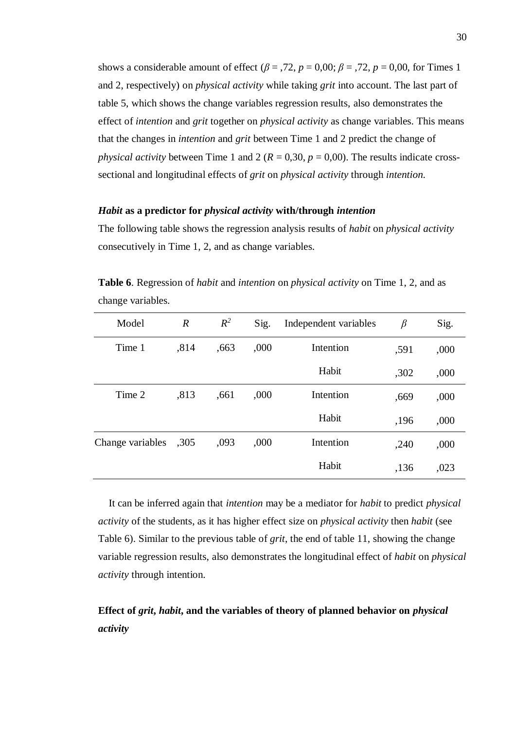shows a considerable amount of effect ( $\beta$  = ,72,  $p$  = 0,00;  $\beta$  = ,72,  $p$  = 0,00, for Times 1 and 2, respectively) on *physical activity* while taking *grit* into account. The last part of table 5, which shows the change variables regression results, also demonstrates the effect of *intention* and *grit* together on *physical activity* as change variables. This means that the changes in *intention* and *grit* between Time 1 and 2 predict the change of *physical activity* between Time 1 and 2 ( $R = 0.30$ ,  $p = 0.00$ ). The results indicate crosssectional and longitudinal effects of *grit* on *physical activity* through *intention*.

#### *Habit* **as a predictor for** *physical activity* **with/through** *intention*

The following table shows the regression analysis results of *habit* on *physical activity* consecutively in Time 1, 2, and as change variables.

| Model            | $\boldsymbol{R}$ | $R^2$ | Sig. | Independent variables | $\beta$ | Sig. |
|------------------|------------------|-------|------|-----------------------|---------|------|
| Time 1           | ,814             | ,663  | ,000 | Intention             | ,591    | ,000 |
|                  |                  |       |      | Habit                 | ,302    | ,000 |
| Time 2           | ,813             | ,661  | ,000 | Intention             | ,669    | ,000 |
|                  |                  |       |      | Habit                 | ,196    | ,000 |
| Change variables | ,305             | ,093  | ,000 | Intention             | ,240    | ,000 |
|                  |                  |       |      | Habit                 | ,136    | ,023 |

**Table 6**. Regression of *habit* and *intention* on *physical activity* on Time 1, 2, and as change variables.

 It can be inferred again that *intention* may be a mediator for *habit* to predict *physical activity* of the students, as it has higher effect size on *physical activity* then *habit* (see Table 6). Similar to the previous table of *grit*, the end of table 11, showing the change variable regression results, also demonstrates the longitudinal effect of *habit* on *physical activity* through intention.

# **Effect of** *grit***,** *habit***, and the variables of theory of planned behavior on** *physical activity*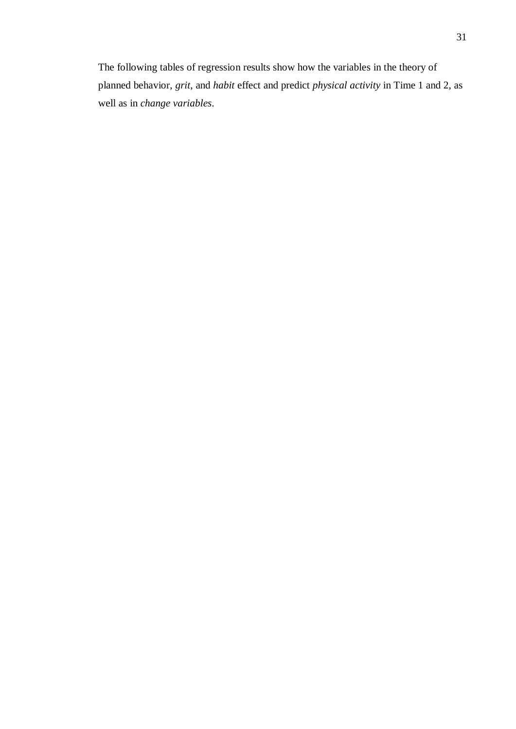The following tables of regression results show how the variables in the theory of planned behavior, *grit*, and *habit* effect and predict *physical activity* in Time 1 and 2, as well as in *change variables*.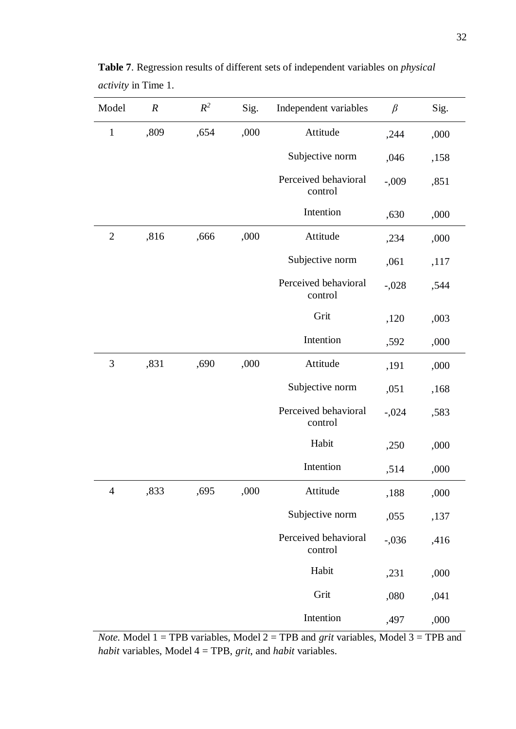| Model          | $\boldsymbol{R}$ | $R^2$ | Sig. | Independent variables           | $\beta$ | Sig. |
|----------------|------------------|-------|------|---------------------------------|---------|------|
| $\mathbf{1}$   | ,809             | ,654  | ,000 | Attitude                        | ,244    | ,000 |
|                |                  |       |      | Subjective norm                 | ,046    | ,158 |
|                |                  |       |      | Perceived behavioral<br>control | $-.009$ | ,851 |
|                |                  |       |      | Intention                       | ,630    | ,000 |
| $\overline{2}$ | ,816             | ,666  | ,000 | Attitude                        | ,234    | ,000 |
|                |                  |       |      | Subjective norm                 | ,061    | ,117 |
|                |                  |       |      | Perceived behavioral<br>control | $-.028$ | ,544 |
|                |                  |       |      | Grit                            | ,120    | ,003 |
|                |                  |       |      | Intention                       | ,592    | ,000 |
| 3              | ,831             | ,690  | ,000 | Attitude                        | ,191    | ,000 |
|                |                  |       |      | Subjective norm                 | ,051    | ,168 |
|                |                  |       |      | Perceived behavioral<br>control | $-.024$ | ,583 |
|                |                  |       |      | Habit                           | ,250    | ,000 |
|                |                  |       |      | Intention                       | ,514    | ,000 |
| $\overline{4}$ | ,833             | ,695  | ,000 | Attitude                        | ,188    | ,000 |
|                |                  |       |      | Subjective norm                 | ,055    | ,137 |
|                |                  |       |      | Perceived behavioral<br>control | $-.036$ | ,416 |
|                |                  |       |      | Habit                           | ,231    | ,000 |
|                |                  |       |      | Grit                            | ,080    | ,041 |
|                |                  |       |      | Intention                       | ,497    | ,000 |

**Table 7**. Regression results of different sets of independent variables on *physical activity* in Time 1.

*Note.* Model  $1 = TPB$  variables, Model  $2 = TPB$  and *grit* variables, Model  $3 = TPB$  and *habit* variables, Model 4 = TPB, *grit*, and *habit* variables.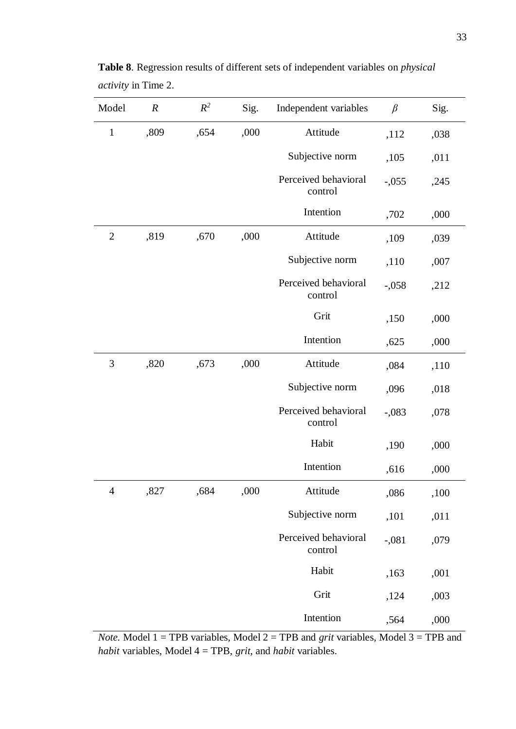| Model          | $\boldsymbol{R}$ | $R^2$ | Sig. | Independent variables           | $\beta$ | Sig. |
|----------------|------------------|-------|------|---------------------------------|---------|------|
| $\mathbf{1}$   | ,809             | ,654  | ,000 | Attitude                        | ,112    | ,038 |
|                |                  |       |      | Subjective norm                 | ,105    | ,011 |
|                |                  |       |      | Perceived behavioral<br>control | $-.055$ | ,245 |
|                |                  |       |      | Intention                       | ,702    | ,000 |
| $\overline{2}$ | ,819             | ,670  | ,000 | Attitude                        | ,109    | ,039 |
|                |                  |       |      | Subjective norm                 | ,110    | ,007 |
|                |                  |       |      | Perceived behavioral<br>control | $-.058$ | ,212 |
|                |                  |       |      | Grit                            | ,150    | ,000 |
|                |                  |       |      | Intention                       | ,625    | ,000 |
| 3              | ,820             | ,673  | ,000 | Attitude                        | ,084    | ,110 |
|                |                  |       |      | Subjective norm                 | ,096    | ,018 |
|                |                  |       |      | Perceived behavioral<br>control | $-.083$ | ,078 |
|                |                  |       |      | Habit                           | ,190    | ,000 |
|                |                  |       |      | Intention                       | ,616    | ,000 |
| $\overline{4}$ | ,827             | ,684  | ,000 | Attitude                        | ,086    | ,100 |
|                |                  |       |      | Subjective norm                 | ,101    | ,011 |
|                |                  |       |      | Perceived behavioral<br>control | $-.081$ | ,079 |
|                |                  |       |      | Habit                           | ,163    | ,001 |
|                |                  |       |      | Grit                            | ,124    | ,003 |
|                |                  |       |      | Intention                       | ,564    | ,000 |

**Table 8**. Regression results of different sets of independent variables on *physical activity* in Time 2.

*Note.* Model 1 = TPB variables, Model 2 = TPB and *grit* variables, Model 3 = TPB and *habit* variables, Model 4 = TPB, *grit*, and *habit* variables.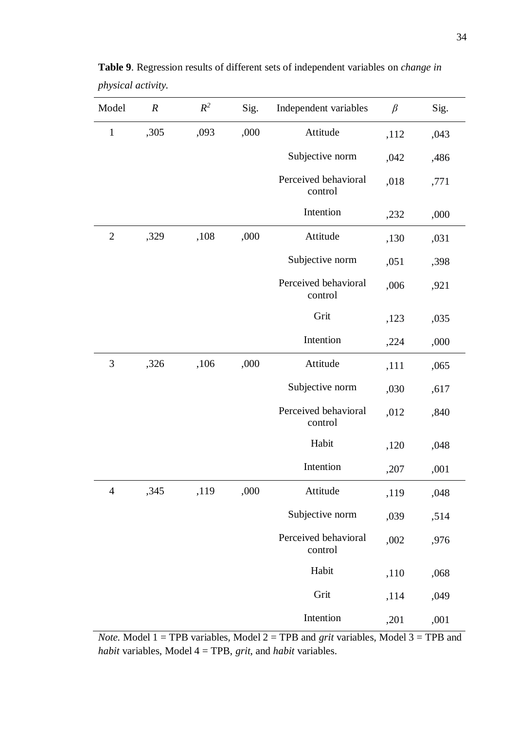| Model          | $\boldsymbol{R}$ | $R^2$ | Sig. | Independent variables           | $\beta$ | Sig. |
|----------------|------------------|-------|------|---------------------------------|---------|------|
| $\mathbf{1}$   | ,305             | ,093  | ,000 | Attitude                        | ,112    | ,043 |
|                |                  |       |      | Subjective norm                 | ,042    | ,486 |
|                |                  |       |      | Perceived behavioral<br>control | ,018    | ,771 |
|                |                  |       |      | Intention                       | ,232    | ,000 |
| $\overline{2}$ | ,329             | ,108  | ,000 | Attitude                        | ,130    | ,031 |
|                |                  |       |      | Subjective norm                 | ,051    | ,398 |
|                |                  |       |      | Perceived behavioral<br>control | ,006    | ,921 |
|                |                  |       |      | Grit                            | ,123    | ,035 |
|                |                  |       |      | Intention                       | ,224    | ,000 |
| 3              | ,326             | ,106  | ,000 | Attitude                        | ,111    | ,065 |
|                |                  |       |      | Subjective norm                 | ,030    | ,617 |
|                |                  |       |      | Perceived behavioral<br>control | ,012    | ,840 |
|                |                  |       |      | Habit                           | ,120    | ,048 |
|                |                  |       |      | Intention                       | ,207    | ,001 |
| $\overline{4}$ | ,345             | ,119  | ,000 | Attitude                        | ,119    | ,048 |
|                |                  |       |      | Subjective norm                 | ,039    | ,514 |
|                |                  |       |      | Perceived behavioral<br>control | ,002    | ,976 |
|                |                  |       |      | Habit                           | ,110    | ,068 |
|                |                  |       |      | Grit                            | ,114    | ,049 |
|                |                  |       |      | Intention                       | ,201    | ,001 |

**Table 9**. Regression results of different sets of independent variables on *change in physical activity.*

*Note.* Model  $1 = TPB$  variables, Model  $2 = TPB$  and *grit* variables, Model  $3 = TPB$  and *habit* variables, Model 4 = TPB, *grit*, and *habit* variables.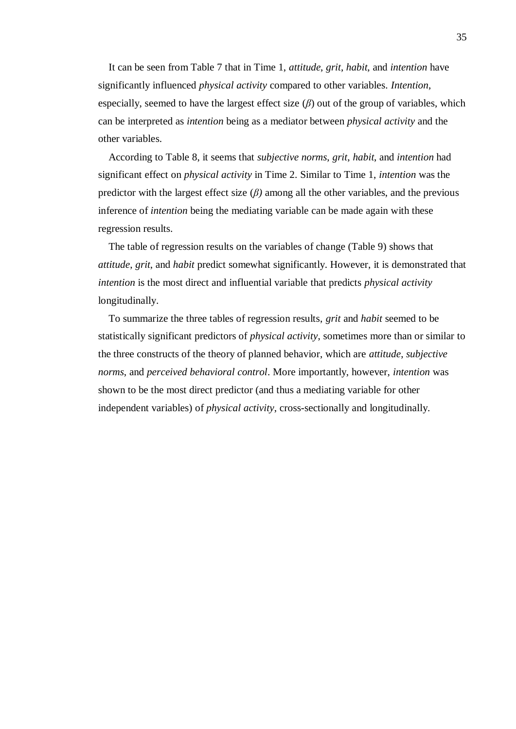It can be seen from Table 7 that in Time 1, *attitude*, *grit*, *habit*, and *intention* have significantly influenced *physical activity* compared to other variables. *Intention*, especially, seemed to have the largest effect size  $(\beta)$  out of the group of variables, which can be interpreted as *intention* being as a mediator between *physical activity* and the other variables.

According to Table 8, it seems that *subjective norms*, *grit*, *habit*, and *intention* had significant effect on *physical activity* in Time 2. Similar to Time 1, *intention* was the predictor with the largest effect size  $(\beta)$  among all the other variables, and the previous inference of *intention* being the mediating variable can be made again with these regression results.

The table of regression results on the variables of change (Table 9) shows that *attitude*, *grit*, and *habit* predict somewhat significantly. However, it is demonstrated that *intention* is the most direct and influential variable that predicts *physical activity* longitudinally.

To summarize the three tables of regression results, *grit* and *habit* seemed to be statistically significant predictors of *physical activity*, sometimes more than or similar to the three constructs of the theory of planned behavior, which are *attitude*, *subjective norms*, and *perceived behavioral control*. More importantly, however, *intention* was shown to be the most direct predictor (and thus a mediating variable for other independent variables) of *physical activity*, cross-sectionally and longitudinally.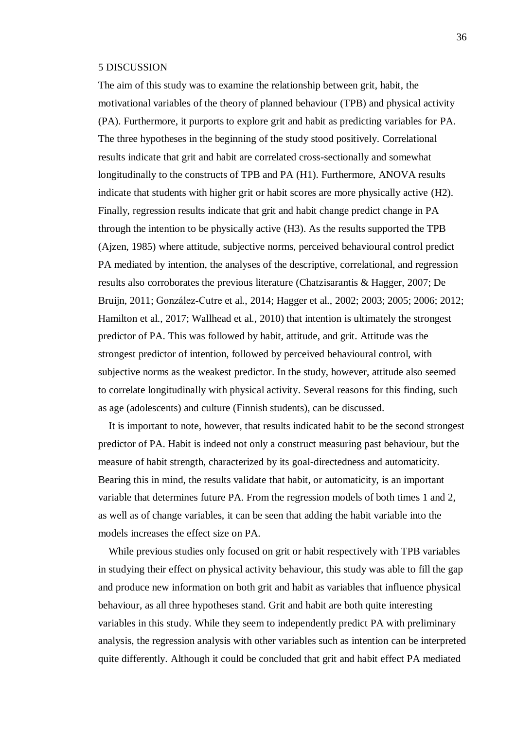#### <span id="page-35-0"></span>5 DISCUSSION

The aim of this study was to examine the relationship between grit, habit, the motivational variables of the theory of planned behaviour (TPB) and physical activity (PA). Furthermore, it purports to explore grit and habit as predicting variables for PA. The three hypotheses in the beginning of the study stood positively. Correlational results indicate that grit and habit are correlated cross-sectionally and somewhat longitudinally to the constructs of TPB and PA (H1). Furthermore, ANOVA results indicate that students with higher grit or habit scores are more physically active (H2). Finally, regression results indicate that grit and habit change predict change in PA through the intention to be physically active (H3). As the results supported the TPB (Ajzen, 1985) where attitude, subjective norms, perceived behavioural control predict PA mediated by intention, the analyses of the descriptive, correlational, and regression results also corroborates the previous literature (Chatzisarantis & Hagger, 2007; De Bruijn, 2011; González‐Cutre et al., 2014; Hagger et al., 2002; 2003; 2005; 2006; 2012; Hamilton et al., 2017; Wallhead et al., 2010) that intention is ultimately the strongest predictor of PA. This was followed by habit, attitude, and grit. Attitude was the strongest predictor of intention, followed by perceived behavioural control, with subjective norms as the weakest predictor. In the study, however, attitude also seemed to correlate longitudinally with physical activity. Several reasons for this finding, such as age (adolescents) and culture (Finnish students), can be discussed.

It is important to note, however, that results indicated habit to be the second strongest predictor of PA. Habit is indeed not only a construct measuring past behaviour, but the measure of habit strength, characterized by its goal-directedness and automaticity. Bearing this in mind, the results validate that habit, or automaticity, is an important variable that determines future PA. From the regression models of both times 1 and 2, as well as of change variables, it can be seen that adding the habit variable into the models increases the effect size on PA.

While previous studies only focused on grit or habit respectively with TPB variables in studying their effect on physical activity behaviour, this study was able to fill the gap and produce new information on both grit and habit as variables that influence physical behaviour, as all three hypotheses stand. Grit and habit are both quite interesting variables in this study. While they seem to independently predict PA with preliminary analysis, the regression analysis with other variables such as intention can be interpreted quite differently. Although it could be concluded that grit and habit effect PA mediated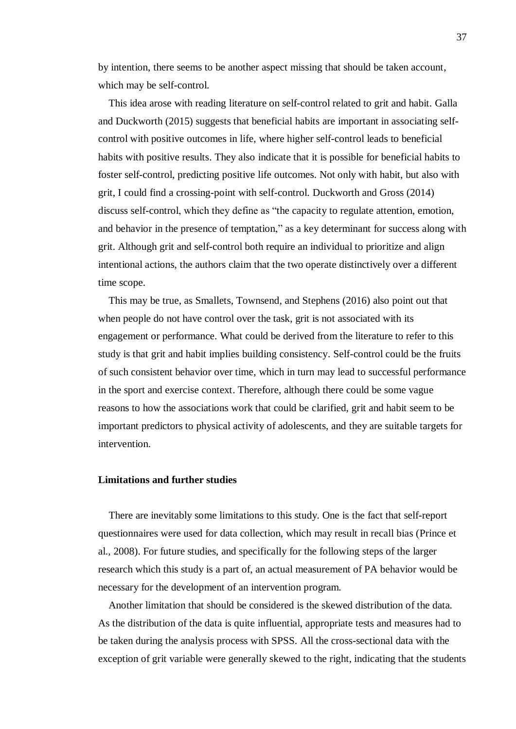by intention, there seems to be another aspect missing that should be taken account, which may be self-control.

This idea arose with reading literature on self-control related to grit and habit. Galla and Duckworth (2015) suggests that beneficial habits are important in associating selfcontrol with positive outcomes in life, where higher self-control leads to beneficial habits with positive results. They also indicate that it is possible for beneficial habits to foster self-control, predicting positive life outcomes. Not only with habit, but also with grit, I could find a crossing-point with self-control. Duckworth and Gross (2014) discuss self-control, which they define as "the capacity to regulate attention, emotion, and behavior in the presence of temptation," as a key determinant for success along with grit. Although grit and self-control both require an individual to prioritize and align intentional actions, the authors claim that the two operate distinctively over a different time scope.

This may be true, as Smallets, Townsend, and Stephens (2016) also point out that when people do not have control over the task, grit is not associated with its engagement or performance. What could be derived from the literature to refer to this study is that grit and habit implies building consistency. Self-control could be the fruits of such consistent behavior over time, which in turn may lead to successful performance in the sport and exercise context. Therefore, although there could be some vague reasons to how the associations work that could be clarified, grit and habit seem to be important predictors to physical activity of adolescents, and they are suitable targets for intervention.

#### **Limitations and further studies**

 There are inevitably some limitations to this study. One is the fact that self-report questionnaires were used for data collection, which may result in recall bias (Prince et al., 2008). For future studies, and specifically for the following steps of the larger research which this study is a part of, an actual measurement of PA behavior would be necessary for the development of an intervention program.

Another limitation that should be considered is the skewed distribution of the data. As the distribution of the data is quite influential, appropriate tests and measures had to be taken during the analysis process with SPSS. All the cross-sectional data with the exception of grit variable were generally skewed to the right, indicating that the students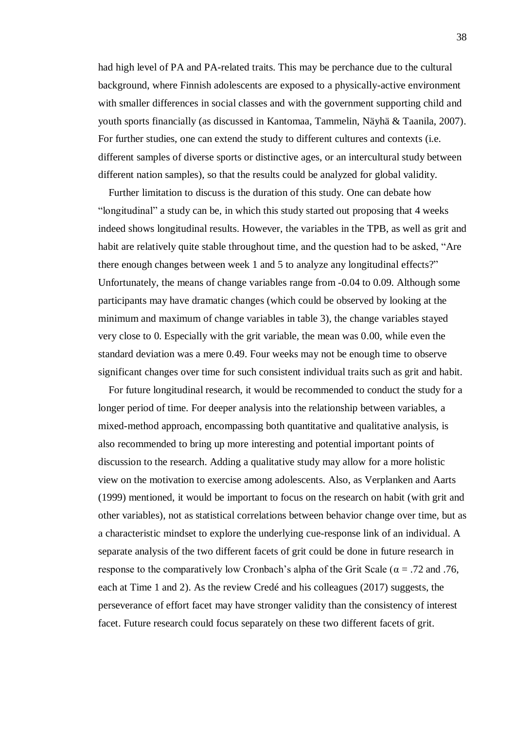had high level of PA and PA-related traits. This may be perchance due to the cultural background, where Finnish adolescents are exposed to a physically-active environment with smaller differences in social classes and with the government supporting child and youth sports financially (as discussed in Kantomaa, Tammelin, Näyhä & Taanila, 2007). For further studies, one can extend the study to different cultures and contexts (i.e. different samples of diverse sports or distinctive ages, or an intercultural study between different nation samples), so that the results could be analyzed for global validity.

Further limitation to discuss is the duration of this study. One can debate how "longitudinal" a study can be, in which this study started out proposing that 4 weeks indeed shows longitudinal results. However, the variables in the TPB, as well as grit and habit are relatively quite stable throughout time, and the question had to be asked, "Are there enough changes between week 1 and 5 to analyze any longitudinal effects?" Unfortunately, the means of change variables range from -0.04 to 0.09. Although some participants may have dramatic changes (which could be observed by looking at the minimum and maximum of change variables in table 3), the change variables stayed very close to 0. Especially with the grit variable, the mean was 0.00, while even the standard deviation was a mere 0.49. Four weeks may not be enough time to observe significant changes over time for such consistent individual traits such as grit and habit.

For future longitudinal research, it would be recommended to conduct the study for a longer period of time. For deeper analysis into the relationship between variables, a mixed-method approach, encompassing both quantitative and qualitative analysis, is also recommended to bring up more interesting and potential important points of discussion to the research. Adding a qualitative study may allow for a more holistic view on the motivation to exercise among adolescents. Also, as Verplanken and Aarts (1999) mentioned, it would be important to focus on the research on habit (with grit and other variables), not as statistical correlations between behavior change over time, but as a characteristic mindset to explore the underlying cue-response link of an individual. A separate analysis of the two different facets of grit could be done in future research in response to the comparatively low Cronbach's alpha of the Grit Scale ( $\alpha$  = .72 and .76, each at Time 1 and 2). As the review Credé and his colleagues (2017) suggests, the perseverance of effort facet may have stronger validity than the consistency of interest facet. Future research could focus separately on these two different facets of grit.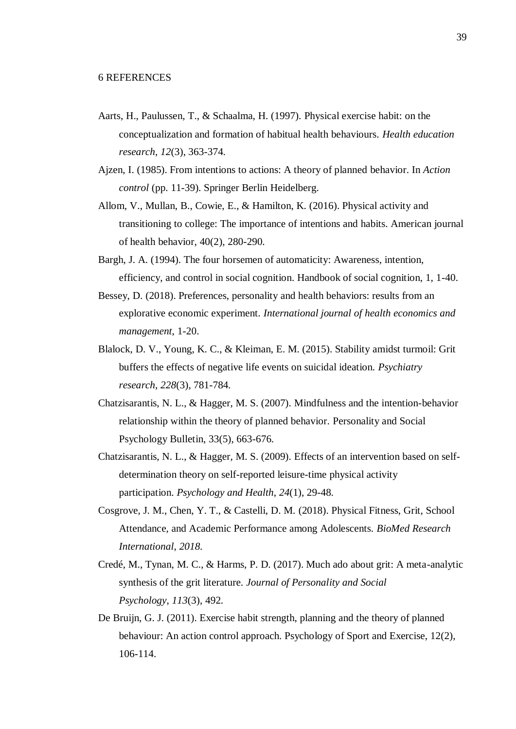- <span id="page-38-0"></span>Aarts, H., Paulussen, T., & Schaalma, H. (1997). Physical exercise habit: on the conceptualization and formation of habitual health behaviours. *Health education research*, *12*(3), 363-374.
- Ajzen, I. (1985). From intentions to actions: A theory of planned behavior. In *Action control* (pp. 11-39). Springer Berlin Heidelberg.
- Allom, V., Mullan, B., Cowie, E., & Hamilton, K. (2016). Physical activity and transitioning to college: The importance of intentions and habits. American journal of health behavior, 40(2), 280-290.
- Bargh, J. A. (1994). The four horsemen of automaticity: Awareness, intention, efficiency, and control in social cognition. Handbook of social cognition, 1, 1-40.
- Bessey, D. (2018). Preferences, personality and health behaviors: results from an explorative economic experiment. *International journal of health economics and management*, 1-20.
- Blalock, D. V., Young, K. C., & Kleiman, E. M. (2015). Stability amidst turmoil: Grit buffers the effects of negative life events on suicidal ideation. *Psychiatry research*, *228*(3), 781-784.
- Chatzisarantis, N. L., & Hagger, M. S. (2007). Mindfulness and the intention-behavior relationship within the theory of planned behavior. Personality and Social Psychology Bulletin, 33(5), 663-676.
- Chatzisarantis, N. L., & Hagger, M. S. (2009). Effects of an intervention based on selfdetermination theory on self-reported leisure-time physical activity participation. *Psychology and Health*, *24*(1), 29-48.
- Cosgrove, J. M., Chen, Y. T., & Castelli, D. M. (2018). Physical Fitness, Grit, School Attendance, and Academic Performance among Adolescents. *BioMed Research International*, *2018*.
- Credé, M., Tynan, M. C., & Harms, P. D. (2017). Much ado about grit: A meta-analytic synthesis of the grit literature. *Journal of Personality and Social Psychology*, *113*(3), 492.
- De Bruijn, G. J. (2011). Exercise habit strength, planning and the theory of planned behaviour: An action control approach. Psychology of Sport and Exercise, 12(2), 106-114.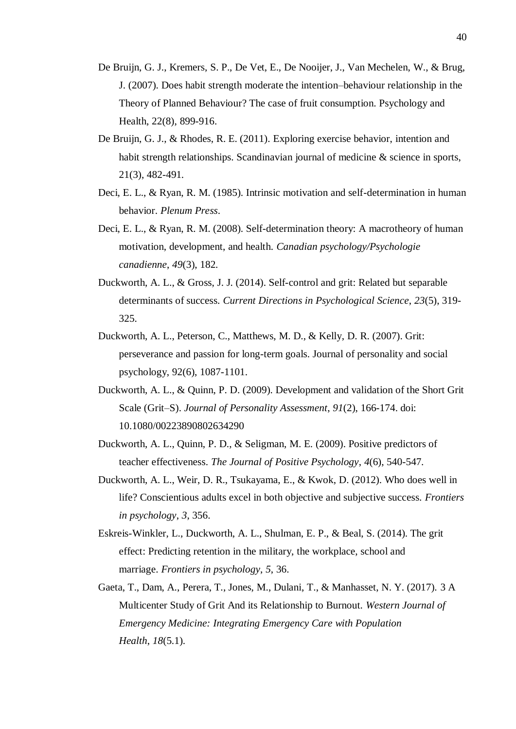- De Bruijn, G. J., Kremers, S. P., De Vet, E., De Nooijer, J., Van Mechelen, W., & Brug, J. (2007). Does habit strength moderate the intention–behaviour relationship in the Theory of Planned Behaviour? The case of fruit consumption. Psychology and Health, 22(8), 899-916.
- De Bruijn, G. J., & Rhodes, R. E. (2011). Exploring exercise behavior, intention and habit strength relationships. Scandinavian journal of medicine & science in sports, 21(3), 482-491.
- Deci, E. L., & Ryan, R. M. (1985). Intrinsic motivation and self-determination in human behavior. *Plenum Press*.
- Deci, E. L., & Ryan, R. M. (2008). Self-determination theory: A macrotheory of human motivation, development, and health. *Canadian psychology/Psychologie canadienne*, *49*(3), 182.
- Duckworth, A. L., & Gross, J. J. (2014). Self-control and grit: Related but separable determinants of success. *Current Directions in Psychological Science*, *23*(5), 319- 325.
- Duckworth, A. L., Peterson, C., Matthews, M. D., & Kelly, D. R. (2007). Grit: perseverance and passion for long-term goals. Journal of personality and social psychology, 92(6), 1087-1101.
- Duckworth, A. L., & Quinn, P. D. (2009). Development and validation of the Short Grit Scale (Grit–S). *Journal of Personality Assessment*, *91*(2), 166-174. doi: 10.1080/00223890802634290
- Duckworth, A. L., Quinn, P. D., & Seligman, M. E. (2009). Positive predictors of teacher effectiveness. *The Journal of Positive Psychology*, *4*(6), 540-547.
- Duckworth, A. L., Weir, D. R., Tsukayama, E., & Kwok, D. (2012). Who does well in life? Conscientious adults excel in both objective and subjective success. *Frontiers in psychology*, *3*, 356.
- Eskreis-Winkler, L., Duckworth, A. L., Shulman, E. P., & Beal, S. (2014). The grit effect: Predicting retention in the military, the workplace, school and marriage. *Frontiers in psychology*, *5*, 36.
- Gaeta, T., Dam, A., Perera, T., Jones, M., Dulani, T., & Manhasset, N. Y. (2017). 3 A Multicenter Study of Grit And its Relationship to Burnout. *Western Journal of Emergency Medicine: Integrating Emergency Care with Population Health*, *18*(5.1).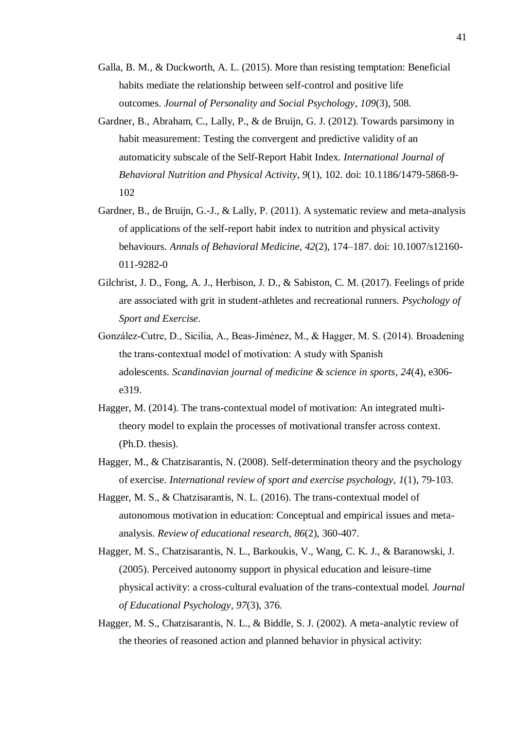- Galla, B. M., & Duckworth, A. L. (2015). More than resisting temptation: Beneficial habits mediate the relationship between self-control and positive life outcomes. *Journal of Personality and Social Psychology*, *109*(3), 508.
- Gardner, B., Abraham, C., Lally, P., & de Bruijn, G. J. (2012). Towards parsimony in habit measurement: Testing the convergent and predictive validity of an automaticity subscale of the Self-Report Habit Index. *International Journal of Behavioral Nutrition and Physical Activity*, *9*(1), 102. doi: 10.1186/1479-5868-9- 102
- Gardner, B., de Bruijn, G.-J., & Lally, P. (2011). A systematic review and meta-analysis of applications of the self-report habit index to nutrition and physical activity behaviours. *Annals of Behavioral Medicine, 42*(2), 174–187. doi: 10.1007/s12160- 011-9282-0
- Gilchrist, J. D., Fong, A. J., Herbison, J. D., & Sabiston, C. M. (2017). Feelings of pride are associated with grit in student-athletes and recreational runners. *Psychology of Sport and Exercise*.
- González‐Cutre, D., Sicilia, A., Beas‐Jiménez, M., & Hagger, M. S. (2014). Broadening the trans‐contextual model of motivation: A study with Spanish adolescents. *Scandinavian journal of medicine & science in sports*, *24*(4), e306 e319.
- Hagger, M. (2014). The trans-contextual model of motivation: An integrated multitheory model to explain the processes of motivational transfer across context. (Ph.D. thesis).
- Hagger, M., & Chatzisarantis, N. (2008). Self-determination theory and the psychology of exercise. *International review of sport and exercise psychology*, *1*(1), 79-103.
- Hagger, M. S., & Chatzisarantis, N. L. (2016). The trans-contextual model of autonomous motivation in education: Conceptual and empirical issues and metaanalysis. *Review of educational research*, *86*(2), 360-407.
- Hagger, M. S., Chatzisarantis, N. L., Barkoukis, V., Wang, C. K. J., & Baranowski, J. (2005). Perceived autonomy support in physical education and leisure-time physical activity: a cross-cultural evaluation of the trans-contextual model. *Journal of Educational Psychology*, *97*(3), 376.
- Hagger, M. S., Chatzisarantis, N. L., & Biddle, S. J. (2002). A meta-analytic review of the theories of reasoned action and planned behavior in physical activity: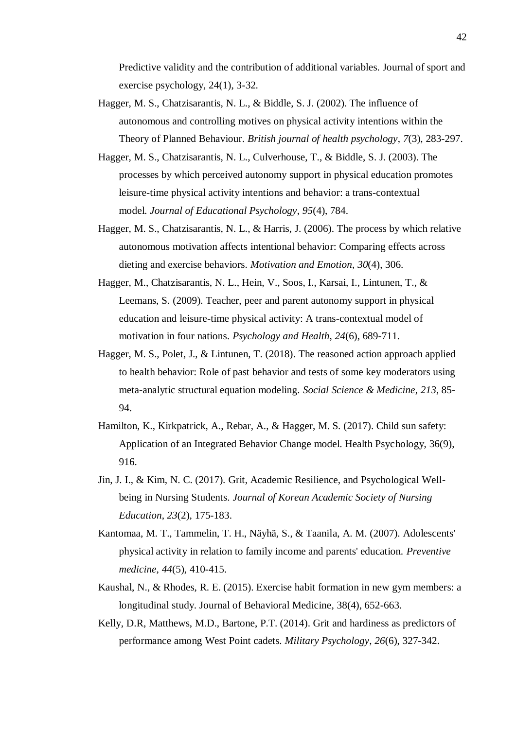Predictive validity and the contribution of additional variables. Journal of sport and exercise psychology, 24(1), 3-32.

- Hagger, M. S., Chatzisarantis, N. L., & Biddle, S. J. (2002). The influence of autonomous and controlling motives on physical activity intentions within the Theory of Planned Behaviour. *British journal of health psychology*, *7*(3), 283-297.
- Hagger, M. S., Chatzisarantis, N. L., Culverhouse, T., & Biddle, S. J. (2003). The processes by which perceived autonomy support in physical education promotes leisure-time physical activity intentions and behavior: a trans-contextual model. *Journal of Educational Psychology*, *95*(4), 784.
- Hagger, M. S., Chatzisarantis, N. L., & Harris, J. (2006). The process by which relative autonomous motivation affects intentional behavior: Comparing effects across dieting and exercise behaviors. *Motivation and Emotion*, *30*(4), 306.
- Hagger, M., Chatzisarantis, N. L., Hein, V., Soos, I., Karsai, I., Lintunen, T., & Leemans, S. (2009). Teacher, peer and parent autonomy support in physical education and leisure-time physical activity: A trans-contextual model of motivation in four nations. *Psychology and Health*, *24*(6), 689-711.
- Hagger, M. S., Polet, J., & Lintunen, T. (2018). The reasoned action approach applied to health behavior: Role of past behavior and tests of some key moderators using meta-analytic structural equation modeling. *Social Science & Medicine*, *213*, 85- 94.
- Hamilton, K., Kirkpatrick, A., Rebar, A., & Hagger, M. S. (2017). Child sun safety: Application of an Integrated Behavior Change model. Health Psychology, 36(9), 916.
- Jin, J. I., & Kim, N. C. (2017). Grit, Academic Resilience, and Psychological Wellbeing in Nursing Students. *Journal of Korean Academic Society of Nursing Education*, *23*(2), 175-183.
- Kantomaa, M. T., Tammelin, T. H., Näyhä, S., & Taanila, A. M. (2007). Adolescents' physical activity in relation to family income and parents' education. *Preventive medicine*, *44*(5), 410-415.
- Kaushal, N., & Rhodes, R. E. (2015). Exercise habit formation in new gym members: a longitudinal study. Journal of Behavioral Medicine, 38(4), 652-663.
- Kelly, D.R, Matthews, M.D., Bartone, P.T. (2014). Grit and hardiness as predictors of performance among West Point cadets. *Military Psychology*, *26*(6), 327-342.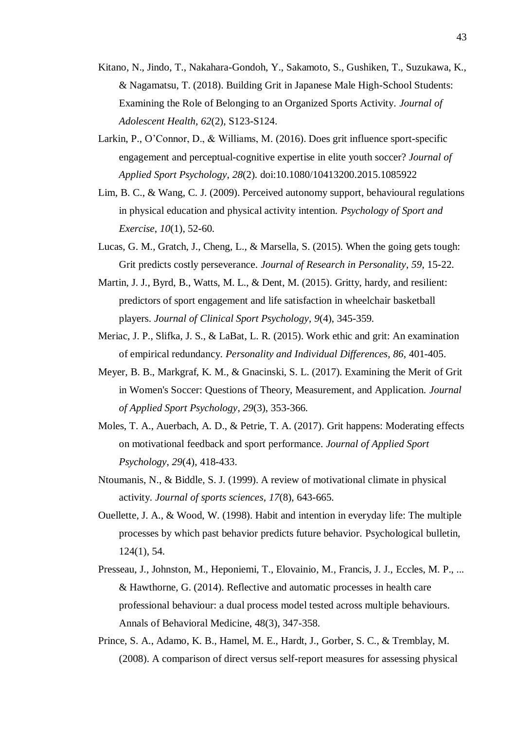- Kitano, N., Jindo, T., Nakahara-Gondoh, Y., Sakamoto, S., Gushiken, T., Suzukawa, K., & Nagamatsu, T. (2018). Building Grit in Japanese Male High-School Students: Examining the Role of Belonging to an Organized Sports Activity. *Journal of Adolescent Health*, *62*(2), S123-S124.
- Larkin, P., O'Connor, D., & Williams, M. (2016). Does grit influence sport-specific engagement and perceptual-cognitive expertise in elite youth soccer? *Journal of Applied Sport Psychology*, *28*(2). doi:10.1080/10413200.2015.1085922
- Lim, B. C., & Wang, C. J. (2009). Perceived autonomy support, behavioural regulations in physical education and physical activity intention. *Psychology of Sport and Exercise*, *10*(1), 52-60.
- Lucas, G. M., Gratch, J., Cheng, L., & Marsella, S. (2015). When the going gets tough: Grit predicts costly perseverance. *Journal of Research in Personality*, *59*, 15-22.
- Martin, J. J., Byrd, B., Watts, M. L., & Dent, M. (2015). Gritty, hardy, and resilient: predictors of sport engagement and life satisfaction in wheelchair basketball players. *Journal of Clinical Sport Psychology*, *9*(4), 345-359.
- Meriac, J. P., Slifka, J. S., & LaBat, L. R. (2015). Work ethic and grit: An examination of empirical redundancy. *Personality and Individual Differences*, *86*, 401-405.
- Meyer, B. B., Markgraf, K. M., & Gnacinski, S. L. (2017). Examining the Merit of Grit in Women's Soccer: Questions of Theory, Measurement, and Application. *Journal of Applied Sport Psychology*, *29*(3), 353-366.
- Moles, T. A., Auerbach, A. D., & Petrie, T. A. (2017). Grit happens: Moderating effects on motivational feedback and sport performance. *Journal of Applied Sport Psychology*, *29*(4), 418-433.
- Ntoumanis, N., & Biddle, S. J. (1999). A review of motivational climate in physical activity. *Journal of sports sciences*, *17*(8), 643-665.
- Ouellette, J. A., & Wood, W. (1998). Habit and intention in everyday life: The multiple processes by which past behavior predicts future behavior. Psychological bulletin, 124(1), 54.
- Presseau, J., Johnston, M., Heponiemi, T., Elovainio, M., Francis, J. J., Eccles, M. P., ... & Hawthorne, G. (2014). Reflective and automatic processes in health care professional behaviour: a dual process model tested across multiple behaviours. Annals of Behavioral Medicine, 48(3), 347-358.
- Prince, S. A., Adamo, K. B., Hamel, M. E., Hardt, J., Gorber, S. C., & Tremblay, M. (2008). A comparison of direct versus self-report measures for assessing physical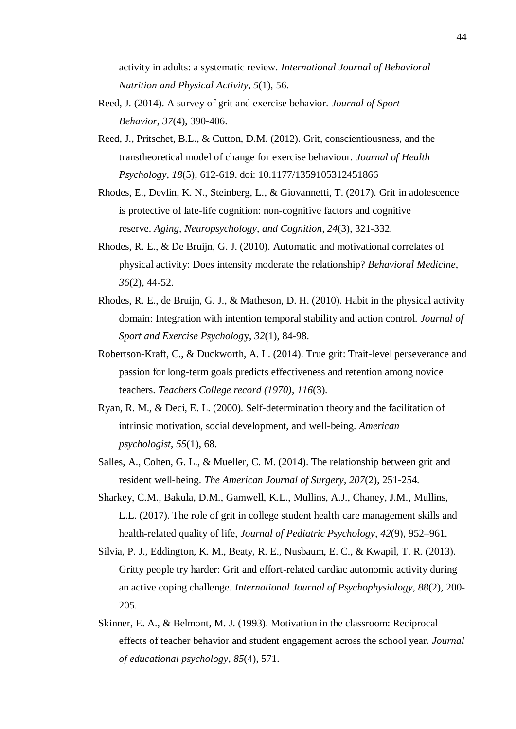activity in adults: a systematic review. *International Journal of Behavioral Nutrition and Physical Activity*, *5*(1), 56.

- Reed, J. (2014). A survey of grit and exercise behavior. *Journal of Sport Behavior*, *37*(4), 390-406.
- Reed, J., Pritschet, B.L., & Cutton, D.M. (2012). Grit, conscientiousness, and the transtheoretical model of change for exercise behaviour. *Journal of Health Psychology*, *18*(5), 612-619. doi: 10.1177/1359105312451866
- Rhodes, E., Devlin, K. N., Steinberg, L., & Giovannetti, T. (2017). Grit in adolescence is protective of late-life cognition: non-cognitive factors and cognitive reserve. *Aging, Neuropsychology, and Cognition*, *24*(3), 321-332.
- Rhodes, R. E., & De Bruijn, G. J. (2010). Automatic and motivational correlates of physical activity: Does intensity moderate the relationship? *Behavioral Medicine*, *36*(2), 44-52.
- Rhodes, R. E., de Bruijn, G. J., & Matheson, D. H. (2010). Habit in the physical activity domain: Integration with intention temporal stability and action control. *Journal of Sport and Exercise Psycholog*y, *32*(1), 84-98.
- Robertson-Kraft, C., & Duckworth, A. L. (2014). True grit: Trait-level perseverance and passion for long-term goals predicts effectiveness and retention among novice teachers. *Teachers College record (1970)*, *116*(3).
- Ryan, R. M., & Deci, E. L. (2000). Self-determination theory and the facilitation of intrinsic motivation, social development, and well-being. *American psychologist*, *55*(1), 68.
- Salles, A., Cohen, G. L., & Mueller, C. M. (2014). The relationship between grit and resident well-being. *The American Journal of Surgery*, *207*(2), 251-254.
- Sharkey, C.M., Bakula, D.M., Gamwell, K.L., Mullins, A.J., Chaney, J.M., Mullins, L.L. (2017). The role of grit in college student health care management skills and health-related quality of life, *Journal of Pediatric Psychology*, *42*(9), 952–961.
- Silvia, P. J., Eddington, K. M., Beaty, R. E., Nusbaum, E. C., & Kwapil, T. R. (2013). Gritty people try harder: Grit and effort-related cardiac autonomic activity during an active coping challenge. *International Journal of Psychophysiology*, *88*(2), 200- 205.
- Skinner, E. A., & Belmont, M. J. (1993). Motivation in the classroom: Reciprocal effects of teacher behavior and student engagement across the school year. *Journal of educational psychology*, *85*(4), 571.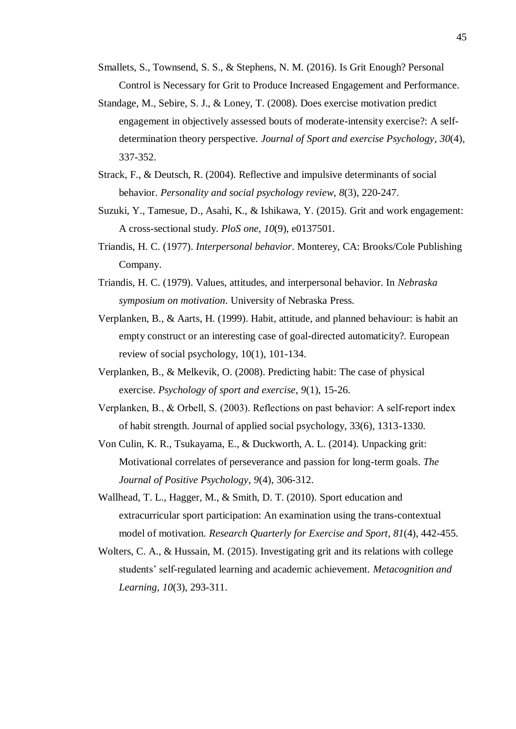- Smallets, S., Townsend, S. S., & Stephens, N. M. (2016). Is Grit Enough? Personal Control is Necessary for Grit to Produce Increased Engagement and Performance.
- Standage, M., Sebire, S. J., & Loney, T. (2008). Does exercise motivation predict engagement in objectively assessed bouts of moderate-intensity exercise?: A selfdetermination theory perspective. *Journal of Sport and exercise Psychology*, *30*(4), 337-352.
- Strack, F., & Deutsch, R. (2004). Reflective and impulsive determinants of social behavior. *Personality and social psychology review*, *8*(3), 220-247.
- Suzuki, Y., Tamesue, D., Asahi, K., & Ishikawa, Y. (2015). Grit and work engagement: A cross-sectional study. *PloS one*, *10*(9), e0137501.
- Triandis, H. C. (1977). *Interpersonal behavior*. Monterey, CA: Brooks/Cole Publishing Company.
- Triandis, H. C. (1979). Values, attitudes, and interpersonal behavior. In *Nebraska symposium on motivation*. University of Nebraska Press.
- Verplanken, B., & Aarts, H. (1999). Habit, attitude, and planned behaviour: is habit an empty construct or an interesting case of goal-directed automaticity?. European review of social psychology, 10(1), 101-134.
- Verplanken, B., & Melkevik, O. (2008). Predicting habit: The case of physical exercise. *Psychology of sport and exercise*, *9*(1), 15-26.
- Verplanken, B., & Orbell, S. (2003). Reflections on past behavior: A self‐report index of habit strength. Journal of applied social psychology, 33(6), 1313-1330.
- Von Culin, K. R., Tsukayama, E., & Duckworth, A. L. (2014). Unpacking grit: Motivational correlates of perseverance and passion for long-term goals. *The Journal of Positive Psychology*, *9*(4), 306-312.
- Wallhead, T. L., Hagger, M., & Smith, D. T. (2010). Sport education and extracurricular sport participation: An examination using the trans-contextual model of motivation. *Research Quarterly for Exercise and Sport*, *81*(4), 442-455.
- Wolters, C. A., & Hussain, M. (2015). Investigating grit and its relations with college students' self-regulated learning and academic achievement. *Metacognition and Learning*, *10*(3), 293-311.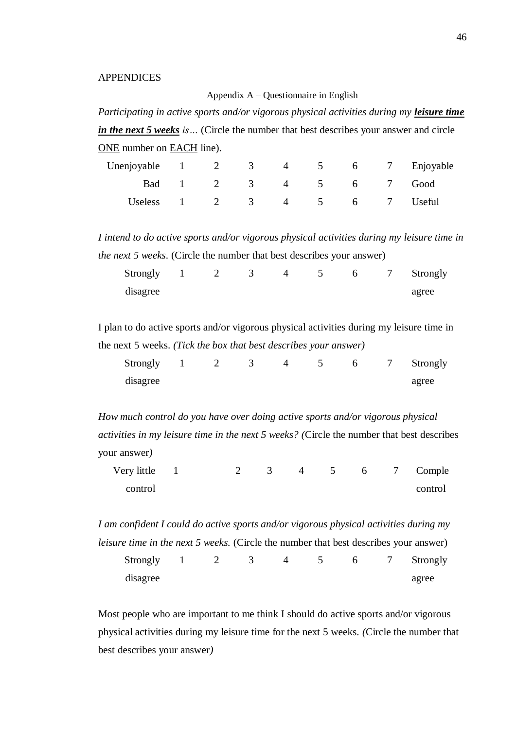#### APPENDICES

#### Appendix A – Questionnaire in English

*Participating in active sports and/or vigorous physical activities during my leisure time in the next 5 weeks is…* (Circle the number that best describes your answer and circle ONE number on EACH line).

| Unenjoyable $1 \t 2 \t 3 \t 4 \t 5 \t 6 \t 7$ Enjoyable |  |                        |  |  |
|---------------------------------------------------------|--|------------------------|--|--|
|                                                         |  | Bad 1 2 3 4 5 6 7 Good |  |  |
| Useless 1 2 3 4 5 6 7 Useful                            |  |                        |  |  |

*I intend to do active sports and/or vigorous physical activities during my leisure time in the next 5 weeks*. (Circle the number that best describes your answer)

| Strongly |  |  |  | 7 Strongly |
|----------|--|--|--|------------|
| disagree |  |  |  | agree      |

I plan to do active sports and/or vigorous physical activities during my leisure time in the next 5 weeks. *(Tick the box that best describes your answer)*

| Strongly |  |  |  | Strongly |
|----------|--|--|--|----------|
| disagree |  |  |  | agree    |

*How much control do you have over doing active sports and/or vigorous physical activities in my leisure time in the next 5 weeks? (*Circle the number that best describes your answer*)*

| Very little $1$ |  |  |  |  | 2 3 4 5 6 7 Comple |
|-----------------|--|--|--|--|--------------------|
| control         |  |  |  |  | control            |

*I am confident I could do active sports and/or vigorous physical activities during my leisure time in the next 5 weeks.* (Circle the number that best describes your answer) Strongly disagree 1 2 3 4 5 6 7 Strongly agree

Most people who are important to me think I should do active sports and/or vigorous physical activities during my leisure time for the next 5 weeks. *(*Circle the number that best describes your answer*)*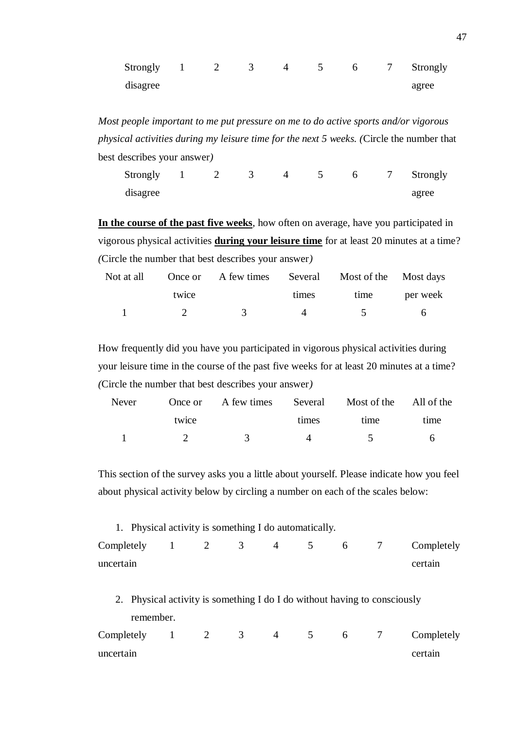| <b>Strongly</b> | <sup>2</sup> |  |  | Strongly |
|-----------------|--------------|--|--|----------|
| disagree        |              |  |  | agree    |

*Most people important to me put pressure on me to do active sports and/or vigorous physical activities during my leisure time for the next 5 weeks. (*Circle the number that best describes your answer*)*

| Strongly | $\perp$ |  |  |  | 7 Strongly |
|----------|---------|--|--|--|------------|
| disagree |         |  |  |  | agree      |

**In the course of the past five weeks**, how often on average, have you participated in vigorous physical activities **during your leisure time** for at least 20 minutes at a time? *(*Circle the number that best describes your answer*)*

|       | Not at all Once or A few times Several Most of the Most days |       |               |       |
|-------|--------------------------------------------------------------|-------|---------------|-------|
| twice |                                                              | times | time per week |       |
|       |                                                              |       | $\sim$ 5      | - 6 - |

How frequently did you have you participated in vigorous physical activities during your leisure time in the course of the past five weeks for at least 20 minutes at a time? *(*Circle the number that best describes your answer*)*

| Never |       | Once or A few times Several Most of the All of the |                    |          |      |
|-------|-------|----------------------------------------------------|--------------------|----------|------|
|       | twice |                                                    | times              | time     | time |
|       |       |                                                    | $\mathbf{\Lambda}$ | $\sim$ 5 | -6   |

This section of the survey asks you a little about yourself. Please indicate how you feel about physical activity below by circling a number on each of the scales below:

| 1. Physical activity is something I do automatically. |  |  |  |                                                   |
|-------------------------------------------------------|--|--|--|---------------------------------------------------|
|                                                       |  |  |  | Completely $1 \t2 \t3 \t4 \t5 \t6 \t7$ Completely |
| uncertain                                             |  |  |  | certain                                           |
|                                                       |  |  |  |                                                   |

2. Physical activity is something I do I do without having to consciously remember.

|           |  |  |  | Completely $1 \t2 \t3 \t4 \t5 \t6 \t7$ Completely |
|-----------|--|--|--|---------------------------------------------------|
| uncertain |  |  |  | certain                                           |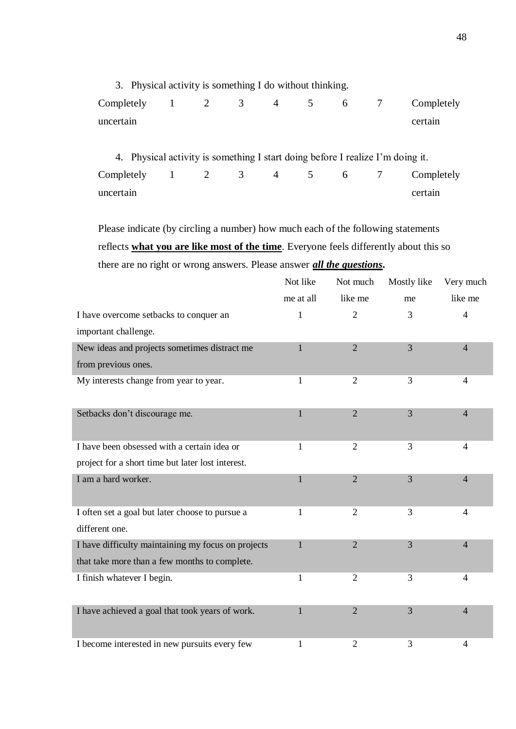3. Physical activity is something I do without thinking. Completely uncertain 1 2 3 4 5 6 7 Completely certain 4. Physical activity is something I start doing before I realize I'm doing it.

Completely uncertain 1 2 3 4 5 6 7 Completely certain

Please indicate (by circling a number) how much each of the following statements reflects **what you are like most of the time**. Everyone feels differently about this so there are no right or wrong answers. Please answer *all the questions***.**

|                                                    | Not like     | Not much       | Mostly like    | Very much      |
|----------------------------------------------------|--------------|----------------|----------------|----------------|
|                                                    | me at all    | like me        | me             | like me        |
| I have overcome setbacks to conquer an             | 1            | $\overline{2}$ | 3              | $\overline{4}$ |
| important challenge.                               |              |                |                |                |
| New ideas and projects sometimes distract me       | $\mathbf{1}$ | $\overline{2}$ | $\overline{3}$ | $\overline{4}$ |
| from previous ones.                                |              |                |                |                |
| My interests change from year to year.             | 1            | $\overline{2}$ | 3              | $\overline{4}$ |
|                                                    |              |                |                |                |
| Setbacks don't discourage me.                      | $\mathbf{1}$ | $\overline{2}$ | $\overline{3}$ | $\overline{4}$ |
|                                                    |              |                |                |                |
| I have been obsessed with a certain idea or        | 1            | $\overline{2}$ | 3              | 4              |
| project for a short time but later lost interest.  |              |                |                |                |
| I am a hard worker.                                | $\mathbf{1}$ | $\overline{2}$ | $\overline{3}$ | $\overline{4}$ |
|                                                    |              |                |                |                |
| I often set a goal but later choose to pursue a    | $\mathbf{1}$ | $\overline{2}$ | 3              | $\overline{4}$ |
| different one.                                     |              |                |                |                |
| I have difficulty maintaining my focus on projects | 1            | $\overline{2}$ | $\overline{3}$ | $\overline{4}$ |
| that take more than a few months to complete.      |              |                |                |                |
| I finish whatever I begin.                         | 1            | $\overline{2}$ | 3              | $\overline{4}$ |
|                                                    |              |                |                |                |
| I have achieved a goal that took years of work.    | 1            | $\overline{2}$ | 3              | $\overline{4}$ |
|                                                    |              |                |                |                |
| I become interested in new pursuits every few      | 1            | $\overline{c}$ | 3              | $\overline{4}$ |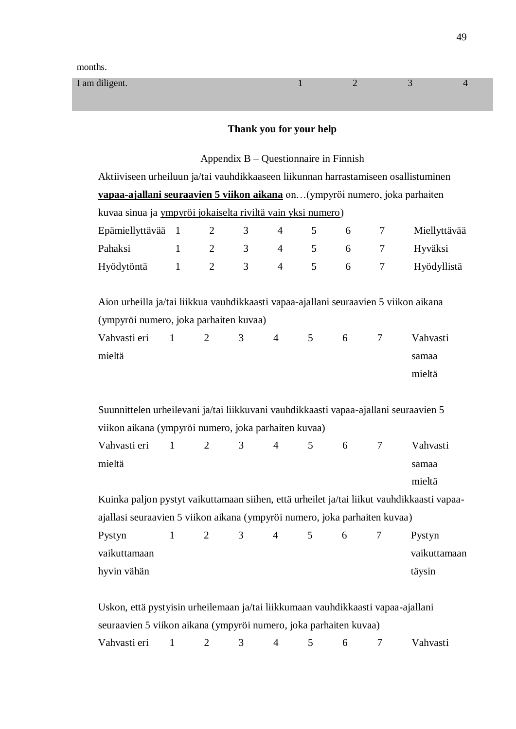| I am diligent. |  | - - |  |
|----------------|--|-----|--|
|                |  |     |  |

# **Thank you for your help**

# Appendix B – Questionnaire in Finnish

| Aktiiviseen urheiluun ja/tai vauhdikkaaseen liikunnan harrastamiseen osallistuminen                                                                   |                                                                              |                |   |                |   |   |        |              |  |  |  |
|-------------------------------------------------------------------------------------------------------------------------------------------------------|------------------------------------------------------------------------------|----------------|---|----------------|---|---|--------|--------------|--|--|--|
|                                                                                                                                                       | vapaa-ajallani seuraavien 5 viikon aikana on (ympyröi numero, joka parhaiten |                |   |                |   |   |        |              |  |  |  |
| kuvaa sinua ja ympyröi jokaiselta riviltä vain yksi numero)                                                                                           |                                                                              |                |   |                |   |   |        |              |  |  |  |
| Epämiellyttävää                                                                                                                                       | $\overline{1}$                                                               | $\overline{2}$ | 3 | $\overline{4}$ | 5 | 6 | 7      | Miellyttävää |  |  |  |
| Pahaksi                                                                                                                                               | $\mathbf{1}$                                                                 | $\overline{2}$ | 3 | $\overline{4}$ | 5 | 6 | 7      | Hyväksi      |  |  |  |
| Hyödytöntä                                                                                                                                            | $\mathbf{1}$                                                                 | $\mathbf{2}$   | 3 | $\overline{4}$ | 5 | 6 | $\tau$ | Hyödyllistä  |  |  |  |
| Aion urheilla ja/tai liikkua vauhdikkaasti vapaa-ajallani seuraavien 5 viikon aikana<br>(ympyröi numero, joka parhaiten kuvaa)                        |                                                                              |                |   |                |   |   |        |              |  |  |  |
| Vahvasti eri                                                                                                                                          | $\mathbf{1}$                                                                 | $\overline{2}$ | 3 | $\overline{4}$ | 5 | 6 | 7      | Vahvasti     |  |  |  |
| mieltä                                                                                                                                                |                                                                              |                |   |                |   |   |        | samaa        |  |  |  |
|                                                                                                                                                       |                                                                              |                |   |                |   |   |        | mieltä       |  |  |  |
| Suunnittelen urheilevani ja/tai liikkuvani vauhdikkaasti vapaa-ajallani seuraavien 5<br>viikon aikana (ympyröi numero, joka parhaiten kuvaa)          |                                                                              |                |   |                |   |   |        |              |  |  |  |
| Vahvasti eri                                                                                                                                          | $\mathbf{1}$                                                                 | $\overline{2}$ | 3 | $\overline{4}$ | 5 | 6 | 7      | Vahvasti     |  |  |  |
| mieltä                                                                                                                                                |                                                                              |                |   |                |   |   |        | samaa        |  |  |  |
|                                                                                                                                                       |                                                                              |                |   |                |   |   |        | mieltä       |  |  |  |
| Kuinka paljon pystyt vaikuttamaan siihen, että urheilet ja/tai liikut vauhdikkaasti vapaa-                                                            |                                                                              |                |   |                |   |   |        |              |  |  |  |
| ajallasi seuraavien 5 viikon aikana (ympyröi numero, joka parhaiten kuvaa)                                                                            |                                                                              |                |   |                |   |   |        |              |  |  |  |
| Pystyn                                                                                                                                                | $\mathbf{1}$                                                                 | $\mathbf{2}$   | 3 | $\overline{4}$ | 5 | 6 | 7      | Pystyn       |  |  |  |
| vaikuttamaan                                                                                                                                          |                                                                              |                |   |                |   |   |        | vaikuttamaan |  |  |  |
| hyvin vähän                                                                                                                                           |                                                                              |                |   |                |   |   |        | täysin       |  |  |  |
| Uskon, että pystyisin urheilemaan ja/tai liikkumaan vauhdikkaasti vapaa-ajallani<br>seuraavien 5 viikon aikana (ympyröi numero, joka parhaiten kuvaa) |                                                                              |                |   |                |   |   |        |              |  |  |  |

Vahvasti eri 1 2 3 4 5 6 7 Vahvasti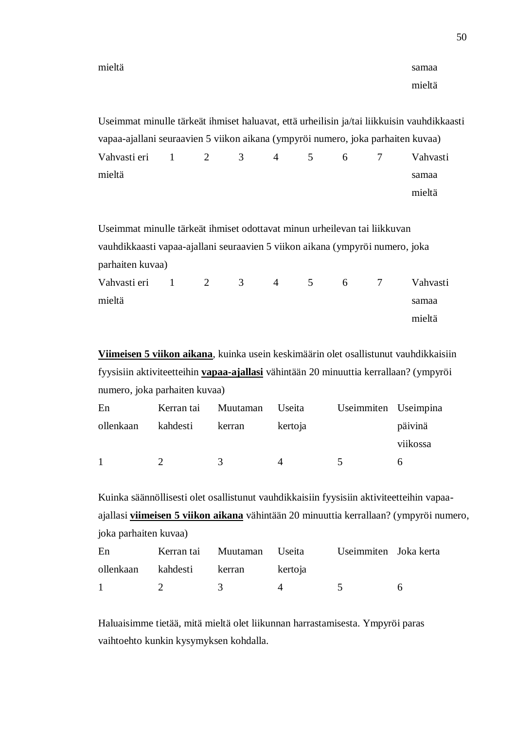50

mieltä

|                                                                                  |  |  |  | Useimmat minulle tärkeät ihmiset haluavat, että urheilisin ja/tai liikkuisin vauhdikkaasti |
|----------------------------------------------------------------------------------|--|--|--|--------------------------------------------------------------------------------------------|
| vapaa-ajallani seuraavien 5 viikon aikana (ympyröi numero, joka parhaiten kuvaa) |  |  |  |                                                                                            |
| Vahvastieri 1 2 3 4 5 6 7                                                        |  |  |  | Vahvasti                                                                                   |
| mieltä                                                                           |  |  |  | samaa                                                                                      |
|                                                                                  |  |  |  | mieltä                                                                                     |

Useimmat minulle tärkeät ihmiset odottavat minun urheilevan tai liikkuvan vauhdikkaasti vapaa-ajallani seuraavien 5 viikon aikana (ympyröi numero, joka parhaiten kuvaa)

| Vahvasti eri 1 2 3 |  | $\sim$ 4 | $\overline{5}$ | 6 7 | Vahvasti |
|--------------------|--|----------|----------------|-----|----------|
| mieltä             |  |          |                |     | samaa    |
|                    |  |          |                |     | mieltä   |

**Viimeisen 5 viikon aikana**, kuinka usein keskimäärin olet osallistunut vauhdikkaisiin fyysisiin aktiviteetteihin **vapaa-ajallasi** vähintään 20 minuuttia kerrallaan? (ympyröi numero, joka parhaiten kuvaa)

| En        | Kerran tai Muutaman |        | Useita  | Useimmiten Useimpina |          |
|-----------|---------------------|--------|---------|----------------------|----------|
| ollenkaan | kahdesti            | kerran | kertoja |                      | päivinä  |
|           |                     |        |         |                      | viikossa |
|           |                     | 3      |         |                      |          |

Kuinka säännöllisesti olet osallistunut vauhdikkaisiin fyysisiin aktiviteetteihin vapaaajallasi **viimeisen 5 viikon aikana** vähintään 20 minuuttia kerrallaan? (ympyröi numero, joka parhaiten kuvaa)

| En      |                                 |                                   | Kerran tai Muutaman Useita Useimmiten Joka kerta |  |
|---------|---------------------------------|-----------------------------------|--------------------------------------------------|--|
|         |                                 | ollenkaan kahdesti kerran kertoja |                                                  |  |
| $1 - 1$ | $\mathcal{P}$ and $\mathcal{P}$ | $\frac{3}{4}$ $\frac{4}{4}$       | $\sim$ 5                                         |  |

Haluaisimme tietää, mitä mieltä olet liikunnan harrastamisesta. Ympyröi paras vaihtoehto kunkin kysymyksen kohdalla.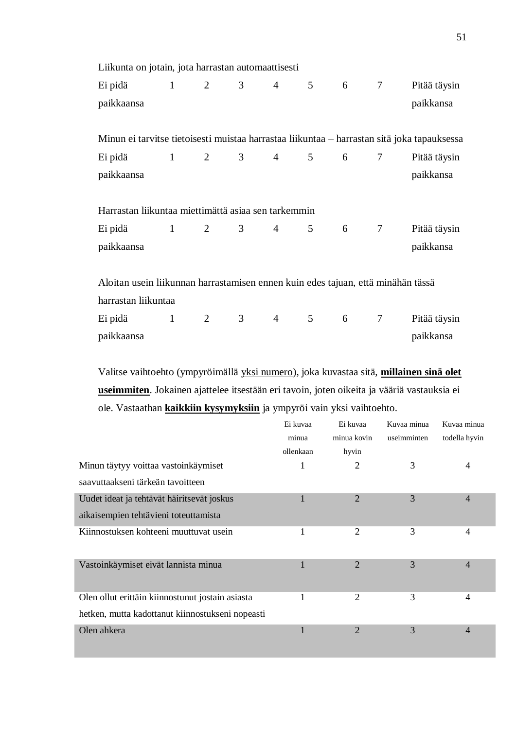| Liikunta on jotain, jota harrastan automaattisesti                                          |                     |                       |                    |                 |                |                 |                 |              |
|---------------------------------------------------------------------------------------------|---------------------|-----------------------|--------------------|-----------------|----------------|-----------------|-----------------|--------------|
| Ei pidä                                                                                     |                     | $1 \qquad 2$          | 3 <sup>7</sup>     | $4\overline{ }$ | 5 <sup>5</sup> | $6\overline{6}$ | $7\overline{ }$ | Pitää täysin |
| paikkaansa                                                                                  |                     |                       |                    |                 |                |                 |                 | paikkansa    |
|                                                                                             |                     |                       |                    |                 |                |                 |                 |              |
| Minun ei tarvitse tietoisesti muistaa harrastaa liikuntaa - harrastan sitä joka tapauksessa |                     |                       |                    |                 |                |                 |                 |              |
| Ei pidä                                                                                     |                     | $1 \qquad 2 \qquad 3$ |                    |                 | $4 \quad 5$    | 6               | $\tau$          | Pitää täysin |
| paikkaansa                                                                                  |                     |                       |                    |                 |                |                 |                 | paikkansa    |
|                                                                                             |                     |                       |                    |                 |                |                 |                 |              |
| Harrastan liikuntaa miettimättä asiaa sen tarkemmin                                         |                     |                       |                    |                 |                |                 |                 |              |
| Ei pidä                                                                                     |                     | $1 \qquad 2$          | 3 <sup>7</sup>     | $4\overline{ }$ | 5 <sup>5</sup> | 6 7             |                 | Pitää täysin |
| paikkaansa                                                                                  |                     |                       |                    |                 |                |                 |                 | paikkansa    |
|                                                                                             |                     |                       |                    |                 |                |                 |                 |              |
| Aloitan usein liikunnan harrastamisen ennen kuin edes tajuan, että minähän tässä            |                     |                       |                    |                 |                |                 |                 |              |
| harrastan liikuntaa                                                                         |                     |                       |                    |                 |                |                 |                 |              |
| Ei pidä                                                                                     | 1<br>$\overline{2}$ |                       | $3 \quad \text{ }$ | $4\overline{ }$ | 5 <sup>5</sup> | $6\overline{6}$ | $\tau$          | Pitää täysin |
| paikkaansa                                                                                  |                     |                       |                    |                 |                |                 |                 | paikkansa    |
|                                                                                             |                     |                       |                    |                 |                |                 |                 |              |

Valitse vaihtoehto (ympyröimällä yksi numero), joka kuvastaa sitä, **millainen sinä olet useimmiten**. Jokainen ajattelee itsestään eri tavoin, joten oikeita ja vääriä vastauksia ei ole. Vastaathan **kaikkiin kysymyksiin** ja ympyröi vain yksi vaihtoehto.

| Ei kuvaa  | Ei kuvaa       | Kuvaa minua          | Kuvaa minua    |
|-----------|----------------|----------------------|----------------|
| ollenkaan |                |                      | todella hyvin  |
| 1         | 2              | 3                    | 4              |
|           |                |                      |                |
|           | $\overline{2}$ | 3                    | $\overline{4}$ |
|           |                |                      |                |
|           | $\overline{2}$ | 3                    | 4              |
|           |                |                      |                |
|           | $\overline{2}$ | 3                    | $\overline{4}$ |
|           |                |                      |                |
|           | 2              | 3                    | 4              |
|           |                |                      |                |
| ш         | $\overline{2}$ | 3                    | 4              |
|           | minua          | minua kovin<br>hyvin | useimminten    |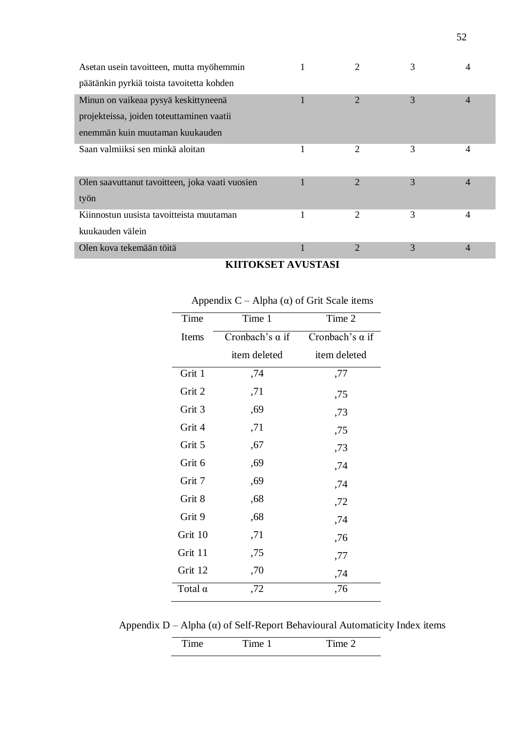| Asetan usein tavoitteen, mutta myöhemmin        |   |                | 3 |                |
|-------------------------------------------------|---|----------------|---|----------------|
| päätänkin pyrkiä toista tavoitetta kohden       |   |                |   |                |
| Minun on vaikeaa pysyä keskittyneenä            |   | 2              | 3 | 4              |
| projekteissa, joiden toteuttaminen vaatii       |   |                |   |                |
| enemmän kuin muutaman kuukauden                 |   |                |   |                |
| Saan valmiiksi sen minkä aloitan                | 1 | 2              | 3 | 4              |
| Olen saavuttanut tavoitteen, joka vaati vuosien |   | 2              | 3 | $\overline{4}$ |
| työn                                            |   |                |   |                |
| Kiinnostun uusista tavoitteista muutaman        |   | 2              | 3 | 4              |
| kuukauden välein                                |   |                |   |                |
| Olen kova tekemään töitä                        |   | $\overline{2}$ | 3 | 4              |

## **KIITOKSET AVUSTASI**

| Time           | Time 1                 | Time 2                 |
|----------------|------------------------|------------------------|
| Items          | Cronbach's $\alpha$ if | Cronbach's $\alpha$ if |
|                | item deleted           | item deleted           |
| Grit 1         | ,74                    | ,77                    |
| Grit 2         | ,71                    | ,75                    |
| Grit 3         | ,69                    | ,73                    |
| Grit 4         | ,71                    | ,75                    |
| Grit 5         | ,67                    | ,73                    |
| Grit 6         | ,69                    | ,74                    |
| Grit 7         | ,69                    | ,74                    |
| Grit 8         | ,68                    | ,72                    |
| Grit 9         | ,68                    | ,74                    |
| Grit 10        | ,71                    | ,76                    |
| Grit 11        | ,75                    | ,77                    |
| Grit 12        | ,70                    | ,74                    |
| Total $\alpha$ | ,72                    | ,76                    |

Appendix  $C - Alpha (α)$  of Grit Scale items

Appendix  $D - A$ lpha ( $\alpha$ ) of Self-Report Behavioural Automaticity Index items

|  | ∼ |
|--|---|
|  |   |